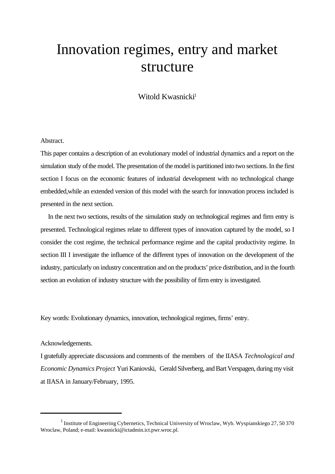# Innovation regimes, entry and market structure

Witold Kwasnicki<sup>1</sup>

## Abstract.

This paper contains a description of an evolutionary model of industrial dynamics and a report on the simulation study of the model. The presentation of the model is partitioned into two sections. In the first section I focus on the economic features of industrial development with no technological change embedded,while an extended version of this model with the search for innovation process included is presented in the next section.

In the next two sections, results of the simulation study on technological regimes and firm entry is presented. Technological regimes relate to different types of innovation captured by the model, so I consider the cost regime, the technical performance regime and the capital productivity regime. In section III I investigate the influence of the different types of innovation on the development of the industry, particularly on industry concentration and on the products' price distribution, and in the fourth section an evolution of industry structure with the possibility of firm entry is investigated.

Key words: Evolutionary dynamics, innovation, technological regimes, firms' entry.

#### Acknowledgements.

I gratefully appreciate discussions and comments of the members of the IIASA *Technological and Economic Dynamics Project* Yuri Kaniovski, Gerald Silverberg, and Bart Verspagen, during my visit at IIASA in January/February, 1995.

<sup>&</sup>lt;sup>1</sup> Institute of Engineering Cybernetics, Technical University of Wroclaw, Wyb. Wyspianskiego 27, 50 370 Wroclaw, Poland; e-mail: kwasnicki@ictadmin.ict.pwr.wroc.pl.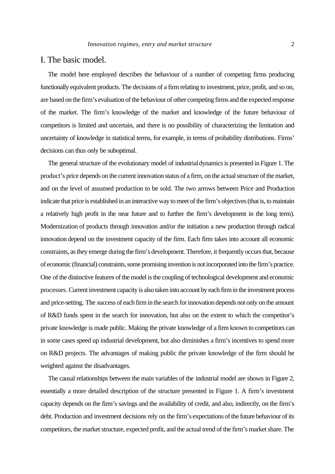## I. The basic model.

The model here employed describes the behaviour of a number of competing firms producing functionally equivalent products. The decisions of a firm relating to investment, price, profit, and so on, are based on the firm's evaluation of the behaviour of other competing firms and the expected response of the market. The firm's knowledge of the market and knowledge of the future behaviour of competitors is limited and uncertain, and there is no possibility of characterizing the limitation and uncertainty of knowledge in statistical terms, for example, in terms of probability distributions. Firms' decisions can thus only be suboptimal.

The general structure of the evolutionary model of industrial dynamics is presented in Figure 1. The product's price depends on the current innovation status of a firm, on the actual structure of the market, and on the level of assumed production to be sold. The two arrows between Price and Production indicate that price is established in an interactive way to meet of the firm's objectives (that is, to maintain a relatively high profit in the near future and to further the firm's development in the long term). Modernization of products through innovation and/or the initiation a new production through radical innovation depend on the investment capacity of the firm. Each firm takes into account all economic constraints, as they emerge during the firm's development. Therefore, it frequently occurs that, because of economic (financial) constraints, some promising invention is not incorporated into the firm's practice. One of the distinctive features of the model is the coupling of technological development and economic processes. Current investment capacity is also taken into account by each firm in the investment process and price-setting. The success of each firm in the search for innovation depends not only on the amount of R&D funds spent in the search for innovation, but also on the extent to which the competitor's private knowledge is made public. Making the private knowledge of a firm known to competitors can in some cases speed up industrial development, but also diminishes a firm's incentives to spend more on R&D projects. The advantages of making public the private knowledge of the firm should be weighted against the disadvantages.

The causal relationships between the main variables of the industrial model are shown in Figure 2, essentially a more detailed description of the structure presented in Figure 1. A firm's investment capacity depends on the firm's savings and the availability of credit, and also, indirectly, on the firm's debt. Production and investment decisions rely on the firm's expectations of the future behaviour of its competitors, the market structure, expected profit, and the actual trend of the firm's market share. The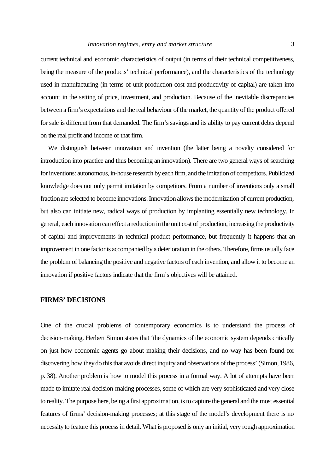current technical and economic characteristics of output (in terms of their technical competitiveness, being the measure of the products' technical performance), and the characteristics of the technology used in manufacturing (in terms of unit production cost and productivity of capital) are taken into account in the setting of price, investment, and production. Because of the inevitable discrepancies between a firm's expectations and the real behaviour of the market, the quantity of the product offered for sale is different from that demanded. The firm's savings and its ability to pay current debts depend on the real profit and income of that firm.

We distinguish between innovation and invention (the latter being a novelty considered for introduction into practice and thus becoming an innovation). There are two general ways of searching for inventions: autonomous, in-house research by each firm, and the imitation of competitors. Publicized knowledge does not only permit imitation by competitors. From a number of inventions only a small fraction are selected to become innovations. Innovation allows the modernization of current production, but also can initiate new, radical ways of production by implanting essentially new technology. In general, each innovation can effect a reduction in the unit cost of production, increasing the productivity of capital and improvements in technical product performance, but frequently it happens that an improvement in one factor is accompanied by a deterioration in the others. Therefore, firms usually face the problem of balancing the positive and negative factors of each invention, and allow it to become an innovation if positive factors indicate that the firm's objectives will be attained.

# **FIRMS' DECISIONS**

One of the crucial problems of contemporary economics is to understand the process of decision-making. Herbert Simon states that 'the dynamics of the economic system depends critically on just how economic agents go about making their decisions, and no way has been found for discovering how they do this that avoids direct inquiry and observations of the process' (Simon, 1986, p. 38). Another problem is how to model this process in a formal way. A lot of attempts have been made to imitate real decision-making processes, some of which are very sophisticated and very close to reality. The purpose here, being a first approximation, is to capture the general and the most essential features of firms' decision-making processes; at this stage of the model's development there is no necessity to feature this process in detail. What is proposed is only an initial, very rough approximation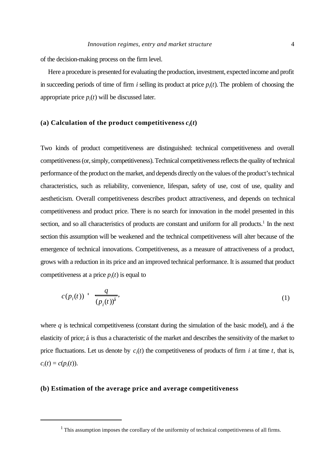of the decision-making process on the firm level.

Here a procedure is presented for evaluating the production, investment, expected income and profit in succeeding periods of time of firm  $i$  selling its product at price  $p_i(t)$ . The problem of choosing the appropriate price  $p_i(t)$  will be discussed later.

# (a) Calculation of the product competitiveness  $c_i(t)$

Two kinds of product competitiveness are distinguished: technical competitiveness and overall competitiveness (or, simply, competitiveness). Technical competitiveness reflects the quality of technical performance of the product on the market, and depends directly on the values of the product's technical characteristics, such as reliability, convenience, lifespan, safety of use, cost of use, quality and aestheticism. Overall competitiveness describes product attractiveness, and depends on technical competitiveness and product price. There is no search for innovation in the model presented in this section, and so all characteristics of products are constant and uniform for all products.<sup>1</sup> In the next section this assumption will be weakened and the technical competitiveness will alter because of the emergence of technical innovations. Competitiveness, as a measure of attractiveness of a product, grows with a reduction in its price and an improved technical performance. It is assumed that product competitiveness at a price  $p_i(t)$  is equal to

$$
c(p_i(t)) \quad \frac{q}{(p_i(t))^a},\tag{1}
$$

where  $q$  is technical competitiveness (constant during the simulation of the basic model), and á the elasticity of price; á is thus a characteristic of the market and describes the sensitivity of the market to price fluctuations. Let us denote by  $c_i(t)$  the competitiveness of products of firm *i* at time *t*, that is,  $c_i(t) = c(p_i(t)).$ 

## **(b) Estimation of the average price and average competitiveness**

 $<sup>1</sup>$  This assumption imposes the corollary of the uniformity of technical competitiveness of all firms.</sup>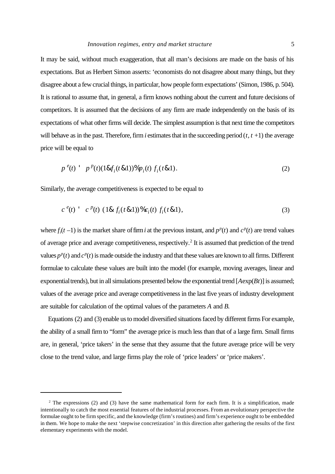It may be said, without much exaggeration, that all man's decisions are made on the basis of his expectations. But as Herbert Simon asserts: 'economists do not disagree about many things, but they disagree about a few crucial things, in particular, how people form expectations' (Simon, 1986, p. 504). It is rational to assume that, in general, a firm knows nothing about the current and future decisions of competitors. It is assumed that the decisions of any firm are made independently on the basis of its expectations of what other firms will decide. The simplest assumption is that next time the competitors will behave as in the past. Therefore, firm *i* estimates that in the succeeding period  $(t, t + 1)$  the average price will be equal to

$$
p^{e}(t) \quad p^{p}(t)(1 \& f_i(t \& 1)) \& p_i(t) f_i(t \& 1).
$$
 (2)

Similarly, the average competitiveness is expected to be equal to

$$
c^{e}(t) - c^{p}(t) (1 \& f_i(t \& 1))\% c_i(t) f_i(t \& 1), \tag{3}
$$

where  $f_i(t-1)$  is the market share of firm *i* at the previous instant, and  $p^p(t)$  and  $c^p(t)$  are trend values of average price and average competitiveness, respectively.<sup>2</sup> It is assumed that prediction of the trend values  $p<sup>p</sup>(t)$  and  $c<sup>p</sup>(t)$  is made outside the industry and that these values are known to all firms. Different formulae to calculate these values are built into the model (for example, moving averages, linear and exponential trends), but in all simulations presented below the exponential trend [*A*exp(*Bt*)] is assumed; values of the average price and average competitiveness in the last five years of industry development are suitable for calculation of the optimal values of the parameters *A* and *B*.

Equations (2) and (3) enable us to model diversified situations faced by different firms For example, the ability of a small firm to "form" the average price is much less than that of a large firm. Small firms are, in general, 'price takers' in the sense that they assume that the future average price will be very close to the trend value, and large firms play the role of 'price leaders' or 'price makers'.

<sup>&</sup>lt;sup>2</sup> The expressions (2) and (3) have the same mathematical form for each firm. It is a simplification, made intentionally to catch the most essential features of the industrial processes. From an evolutionary perspective the formulae ought to be firm specific, and the knowledge (firm's routines) and firm's experience ought to be embedded in them. We hope to make the next 'stepwise concretization' in this direction after gathering the results of the first elementary experiments with the model.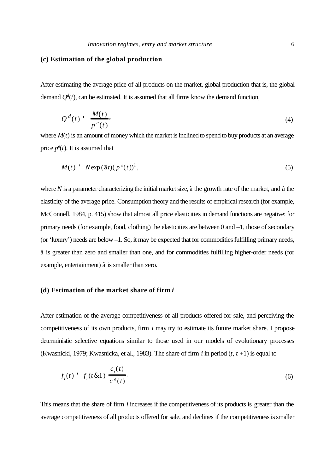## **(c) Estimation of the global production**

After estimating the average price of all products on the market, global production that is, the global demand  $Q^d(t)$ , can be estimated. It is assumed that all firms know the demand function,

$$
Q^d(t) \stackrel{\mathbf{M}(t)}{=} \frac{M(t)}{p^e(t)},\tag{4}
$$

where  $M(t)$  is an amount of money which the market is inclined to spend to buy products at an average price  $p^e(t)$ . It is assumed that

$$
M(t) \quad N \exp(\tilde{a}t) (p^e(t))^{\hat{a}}, \tag{5}
$$

where *N* is a parameter characterizing the initial market size,  $\tilde{a}$  the growth rate of the market, and  $\hat{a}$  the elasticity of the average price. Consumption theory and the results of empirical research (for example, McConnell, 1984, p. 415) show that almost all price elasticities in demand functions are negative: for primary needs (for example, food, clothing) the elasticities are between 0 and  $-1$ , those of secondary (or 'luxury') needs are below –1. So, it may be expected that for commodities fulfilling primary needs, â is greater than zero and smaller than one, and for commodities fulfilling higher-order needs (for example, entertainment) â is smaller than zero.

#### **(d) Estimation of the market share of firm** *i*

After estimation of the average competitiveness of all products offered for sale, and perceiving the competitiveness of its own products, firm *i* may try to estimate its future market share. I propose deterministic selective equations similar to those used in our models of evolutionary processes (Kwasnicki, 1979; Kwasnicka, et al., 1983). The share of firm *i* in period (*t*, *t* +1) is equal to

$$
f_i(t) \doteq f_i(t \& 1) \frac{c_i(t)}{c^e(t)}.\tag{6}
$$

This means that the share of firm *i* increases if the competitiveness of its products is greater than the average competitiveness of all products offered for sale, and declines if the competitiveness is smaller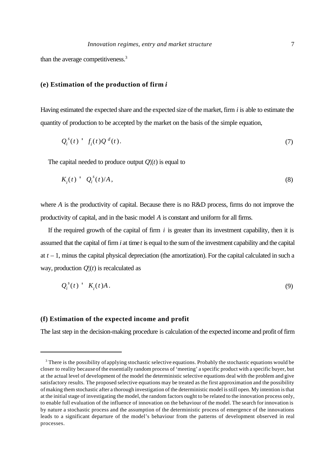than the average competitiveness.<sup>3</sup>

# **(e) Estimation of the production of firm** *i*

Having estimated the expected share and the expected size of the market, firm *i* is able to estimate the quantity of production to be accepted by the market on the basis of the simple equation,

$$
Q_i^s(t) \doteq f_i(t)Q^d(t). \tag{7}
$$

The capital needed to produce output  $Q_i^s(t)$  is equal to

$$
K_i(t) \qquad Q_i^s(t)/A,\tag{8}
$$

where *A* is the productivity of capital. Because there is no R&D process, firms do not improve the productivity of capital, and in the basic model *A* is constant and uniform for all firms.

If the required growth of the capital of firm *i* is greater than its investment capability, then it is assumed that the capital of firm *i* at time *t* is equal to the sum of the investment capability and the capital at  $t-1$ , minus the capital physical depreciation (the amortization). For the capital calculated in such a way, production  $Q_i^s(t)$  is recalculated as

$$
Q_i^s(t) \qquad K_i(t)A \,. \tag{9}
$$

#### **(f) Estimation of the expected income and profit**

The last step in the decision-making procedure is calculation of the expected income and profit of firm

<sup>&</sup>lt;sup>3</sup> There is the possibility of applying stochastic selective equations. Probably the stochastic equations would be closer to reality because of the essentially random process of 'meeting' a specific product with a specific buyer, but at the actual level of development of the model the deterministic selective equations deal with the problem and give satisfactory results. The proposed selective equations may be treated as the first approximation and the possibility of making them stochastic after a thorough investigation of the deterministic model is still open. My intention is that at the initial stage of investigating the model, the random factors ought to be related to the innovation process only, to enable full evaluation of the influence of innovation on the behaviour of the model. The search for innovation is by nature a stochastic process and the assumption of the deterministic process of emergence of the innovations leads to a significant departure of the model's behaviour from the patterns of development observed in real processes.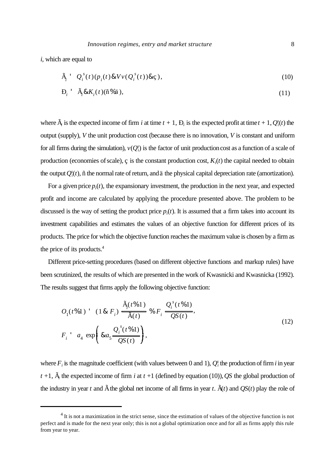*i*, which are equal to

$$
\tilde{A}_i^{\prime} = Q_i^s(t)(p_i(t)\&Vv(Q_i^s(t))\&\varsigma),\tag{10}
$$

$$
\mathbf{D}_i \qquad \tilde{\mathbf{A}}_i \& K_i(t) (\tilde{\mathbf{n}} \, \mathbf{a} \, \mathbf{a}), \tag{11}
$$

where  $\tilde{A}_i$  is the expected income of firm *i* at time  $t + 1$ ,  $D_i$  is the expected profit at time  $t + 1$ ,  $Q_i^s(t)$  the output (supply), *V* the unit production cost (because there is no innovation, *V* is constant and uniform for all firms during the simulation),  $v(Q_i^s)$  is the factor of unit production cost as a function of a scale of production (economies of scale),  $\varsigma$  is the constant production cost,  $K_i(t)$  the capital needed to obtain the output  $Q_i^s(t)$ , ñ the normal rate of return, and ä the physical capital depreciation rate (amortization).

For a given price  $p_i(t)$ , the expansionary investment, the production in the next year, and expected profit and income are calculated by applying the procedure presented above. The problem to be discussed is the way of setting the product price  $p_i(t)$ . It is assumed that a firm takes into account its investment capabilities and estimates the values of an objective function for different prices of its products. The price for which the objective function reaches the maximum value is chosen by a firm as the price of its products.<sup>4</sup>

Different price-setting procedures (based on different objective functions and markup rules) have been scrutinized, the results of which are presented in the work of Kwasnicki and Kwasnicka (1992). The results suggest that firms apply the following objective function:

$$
O_{1}(t\%1) \quad (1 \& F_{i}) \frac{\tilde{A}_{i}(t\%1)}{\tilde{A}(t)} \% F_{i} \frac{Q_{i}^{s}(t\%1)}{QS(t)},
$$
\n
$$
F_{i} \quad a_{4} \exp\left(\& a_{5} \frac{Q_{i}^{s}(t\%1)}{QS(t)}\right), \tag{12}
$$

where  $F_i$  is the magnitude coefficient (with values between 0 and 1),  $Q_i^s$  the production of firm *i* in year *t* +1, Ã*<sup>i</sup>* the expected income of firm *i* at *t* +1 (defined by equation (10)), *QS* the global production of the industry in year *t* and  $\tilde{A}$  the global net income of all firms in year *t*.  $\tilde{A}(t)$  and  $QS(t)$  play the role of

 $<sup>4</sup>$  It is not a maximization in the strict sense, since the estimation of values of the objective function is not</sup> perfect and is made for the next year only; this is not a global optimization once and for all as firms apply this rule from year to year.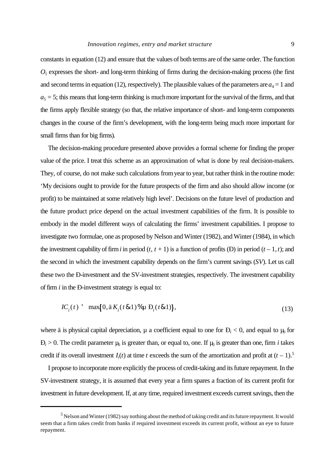constants in equation (12) and ensure that the values of both terms are of the same order. The function *O*1 expresses the short- and long-term thinking of firms during the decision-making process (the first and second terms in equation (12), respectively). The plausible values of the parameters are  $a_4 = 1$  and  $a_5 = 5$ ; this means that long-term thinking is much more important for the survival of the firms, and that the firms apply flexible strategy (so that, the relative importance of short- and long-term components changes in the course of the firm's development, with the long-term being much more important for small firms than for big firms).

The decision-making procedure presented above provides a formal scheme for finding the proper value of the price. I treat this scheme as an approximation of what is done by real decision-makers. They, of course, do not make such calculations from year to year, but rather think in the routine mode: 'My decisions ought to provide for the future prospects of the firm and also should allow income (or profit) to be maintained at some relatively high level'. Decisions on the future level of production and the future product price depend on the actual investment capabilities of the firm. It is possible to embody in the model different ways of calculating the firms' investment capabilities. I propose to investigate two formulae, one as proposed by Nelson and Winter (1982), and Winter (1984), in which the investment capability of firm *i* in period  $(t, t + 1)$  is a function of profits (Đ) in period  $(t - 1, t)$ ; and the second in which the investment capability depends on the firm's current savings (*SV*). Let us call these two the Ð-investment and the SV-investment strategies, respectively. The investment capability of firm *i* in the Ð-investment strategy is equal to:

$$
IC_i(t) \quad \max\{0, \ddot{a} K_i(t \& 1) \& \mu \; \mathbf{D}_i(t \& 1)\},\tag{13}
$$

where  $\ddot{a}$  is physical capital depreciation,  $\mu$  a coefficient equal to one for  $D_i < 0$ , and equal to  $\mu_0$  for  $D_i > 0$ . The credit parameter  $\mu_0$  is greater than, or equal to, one. If  $\mu_0$  is greater than one, firm *i* takes credit if its overall investment  $I_i(t)$  at time *t* exceeds the sum of the amortization and profit at  $(t-1)$ .<sup>5</sup>

I propose to incorporate more explicitly the process of credit-taking and its future repayment. In the SV-investment strategy, it is assumed that every year a firm spares a fraction of its current profit for investment in future development. If, at any time, required investment exceeds current savings, then the

<sup>&</sup>lt;sup>5</sup> Nelson and Winter (1982) say nothing about the method of taking credit and its future repayment. It would seem that a firm takes credit from banks if required investment exceeds its current profit, without an eye to future repayment.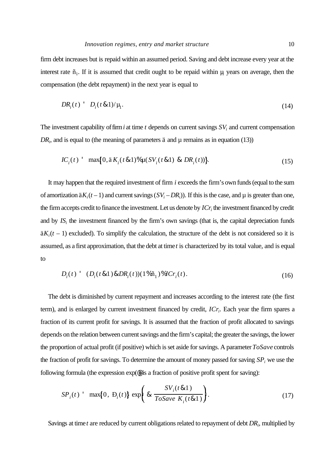firm debt increases but is repaid within an assumed period. Saving and debt increase every year at the interest rate  $\tilde{n}_1$ . If it is assumed that credit ought to be repaid within  $\mu$  years on average, then the compensation (the debt repayment) in the next year is equal to

$$
DRi(t) \quad Di(t \& 1)/\mu_1.
$$
 (14)

The investment capability of firm *i* at time *t* depends on current savings *SV<sup>i</sup>* and current compensation  $DR<sub>i</sub>$ , and is equal to (the meaning of parameters ä and  $\mu$  remains as in equation (13))

*IC*<sub>*i*</sub>(*t*) " max{0, ä
$$
K_i(t \& 1)
$$
% $\mu(SV_i(t \& 1) \& DR_i(t))$ }.(15)

It may happen that the required investment of firm *i* exceeds the firm's own funds (equal to the sum of amortization  $\ddot{a}K_i(t-1)$  and current savings  $(SV_i - DR_i)$ . If this is the case, and  $\mu$  is greater than one, the firm accepts credit to finance the investment. Let us denote by *ICr<sup>i</sup>* the investment financed by credit and by  $IS_i$  the investment financed by the firm's own savings (that is, the capital depreciation funds  $\ddot{a}K_i(t-1)$  excluded). To simplify the calculation, the structure of the debt is not considered so it is assumed, as a first approximation, that the debt at time *t* is characterized by its total value, and is equal to

$$
D_i(t) = (D_i(t \& 1) \& DR_i(t))(1 \& \tilde{n}_1) \& ICr_i(t).
$$
\n(16)

The debt is diminished by current repayment and increases according to the interest rate (the first term), and is enlarged by current investment financed by credit, *ICr<sup>i</sup>* . Each year the firm spares a fraction of its current profit for savings. It is assumed that the fraction of profit allocated to savings depends on the relation between current savings and the firm's capital; the greater the savings, the lower the proportion of actual profit (if positive) which is set aside for savings. A parameter *ToSave* controls the fraction of profit for savings. To determine the amount of money passed for saving *SP<sup>i</sup>* we use the following formula (the expression  $exp(\theta)$  is a fraction of positive profit spent for saving):

$$
SP_i(t) \quad \max\{0, \, \mathbf{D}_i(t)\} \, \exp\left(\, \, \& \, \frac{SV_i(t \, \& 1)}{ToSave \, K_i(t \, \& 1)}\right). \tag{17}
$$

Savings at time *t* are reduced by current obligations related to repayment of debt *DR<sup>i</sup>* , multiplied by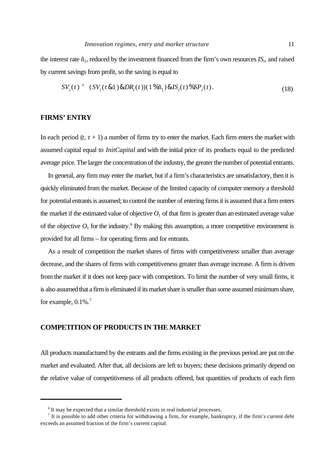the interest rate  $\tilde{n}_1$ , reduced by the investment financed from the firm's own resources  $IS_i$ , and raised by current savings from profit, so the saving is equal to

$$
SV_i(t) \quad (SV_i(t \& 1) \& DR_i(t))(1 \& \tilde{n}_1) \& IS_i(t) \& SP_i(t). \tag{18}
$$

## **FIRMS' ENTRY**

In each period  $(t, t + 1)$  a number of firms try to enter the market. Each firm enters the market with assumed capital equal to *InitCapital* and with the initial price of its products equal to the predicted average price. The larger the concentration of the industry, the greater the number of potential entrants.

In general, any firm may enter the market, but if a firm's characteristics are unsatisfactory, then it is quickly eliminated from the market. Because of the limited capacity of computer memory a threshold for potential entrants is assumed; to control the number of entering firms it is assumed that a firm enters the market if the estimated value of objective  $O_1$  of that firm is greater than an estimated average value of the objective  $O_1$  for the industry.<sup>6</sup> By making this assumption, a more competitive environment is provided for all firms – for operating firms and for entrants.

As a result of competition the market shares of firms with competitiveness smaller than average decrease, and the shares of firms with competitiveness greater than average increase. A firm is driven from the market if it does not keep pace with competitors. To limit the number of very small firms, it is also assumed that a firm is eliminated if its market share is smaller than some assumed minimum share, for example,  $0.1\%$ .<sup>7</sup>

## **COMPETITION OF PRODUCTS IN THE MARKET**

All products manufactured by the entrants and the firms existing in the previous period are put on the market and evaluated. After that, all decisions are left to buyers; these decisions primarily depend on the relative value of competitiveness of all products offered, but quantities of products of each firm

<sup>&</sup>lt;sup>6</sup> It may be expected that a similar threshold exists in real industrial processes.

It is possible to add other criteria for withdrawing a firm, for example, bankruptcy, if the firm's current debt exceeds an assumed fraction of the firm's current capital.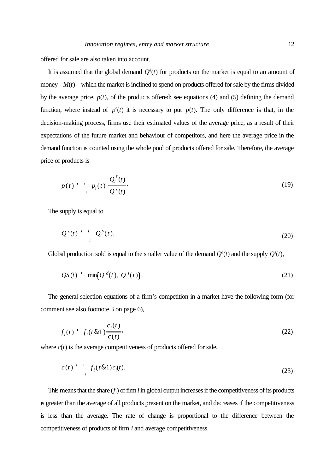offered for sale are also taken into account.

It is assumed that the global demand  $Q<sup>d</sup>(t)$  for products on the market is equal to an amount of money  $-M(t)$  – which the market is inclined to spend on products offered for sale by the firms divided by the average price, *p*(*t*), of the products offered; see equations (4) and (5) defining the demand function, where instead of  $p^e(t)$  it is necessary to put  $p(t)$ . The only difference is that, in the decision-making process, firms use their estimated values of the average price, as a result of their expectations of the future market and behaviour of competitors, and here the average price in the demand function is counted using the whole pool of products offered for sale. Therefore, the average price of products is

$$
p(t) \quad \xrightarrow{i} \quad p_i(t) \; \frac{Q_i^s(t)}{Q^s(t)}.
$$

The supply is equal to

$$
Q^{s}(t) \quad \frac{1}{i} \quad Q_i^{s}(t). \tag{20}
$$

Global production sold is equal to the smaller value of the demand  $Q^d(t)$  and the supply  $Q^s(t)$ ,

$$
QS(t) \quad \min\{Q^{d}(t), Q^{s}(t)\}.
$$
 (21)

The general selection equations of a firm's competition in a market have the following form (for comment see also footnote 3 on page 6),

$$
f_i(t) \doteq f_i(t \& 1) \frac{c_i(t)}{c(t)},\tag{22}
$$

where  $c(t)$  is the average competitiveness of products offered for sale,

$$
c(t) = \int_{i}^{t} f_{i}(t \& 1) c_{i}(t).
$$
 (23)

This means that the share  $(f_i)$  of firm  $i$  in global output increases if the competitiveness of its products is greater than the average of all products present on the market, and decreases if the competitiveness is less than the average. The rate of change is proportional to the difference between the competitiveness of products of firm *i* and average competitiveness.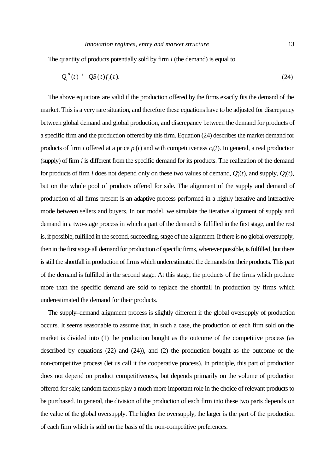The quantity of products potentially sold by firm *i* (the demand) is equal to

$$
Q_i^d(t) - QS(t)f_i(t). \tag{24}
$$

The above equations are valid if the production offered by the firms exactly fits the demand of the market. This is a very rare situation, and therefore these equations have to be adjusted for discrepancy between global demand and global production, and discrepancy between the demand for products of a specific firm and the production offered by this firm. Equation (24) describes the market demand for products of firm *i* offered at a price  $p_i(t)$  and with competitiveness  $c_i(t)$ . In general, a real production (supply) of firm *i* is different from the specific demand for its products. The realization of the demand for products of firm *i* does not depend only on these two values of demand,  $Q_i^d(t)$ , and supply,  $Q_i^s(t)$ , but on the whole pool of products offered for sale. The alignment of the supply and demand of production of all firms present is an adaptive process performed in a highly iterative and interactive mode between sellers and buyers. In our model, we simulate the iterative alignment of supply and demand in a two-stage process in which a part of the demand is fulfilled in the first stage, and the rest is, if possible, fulfilled in the second, succeeding, stage of the alignment. If there is no global oversupply, then in the first stage all demand for production of specific firms, wherever possible, is fulfilled, but there is still the shortfall in production of firms which underestimated the demands for their products. This part of the demand is fulfilled in the second stage. At this stage, the products of the firms which produce more than the specific demand are sold to replace the shortfall in production by firms which underestimated the demand for their products.

The supply–demand alignment process is slightly different if the global oversupply of production occurs. It seems reasonable to assume that, in such a case, the production of each firm sold on the market is divided into (1) the production bought as the outcome of the competitive process (as described by equations (22) and (24)), and (2) the production bought as the outcome of the non-competitive process (let us call it the cooperative process). In principle, this part of production does not depend on product competitiveness, but depends primarily on the volume of production offered for sale; random factors play a much more important role in the choice of relevant products to be purchased. In general, the division of the production of each firm into these two parts depends on the value of the global oversupply. The higher the oversupply, the larger is the part of the production of each firm which is sold on the basis of the non-competitive preferences.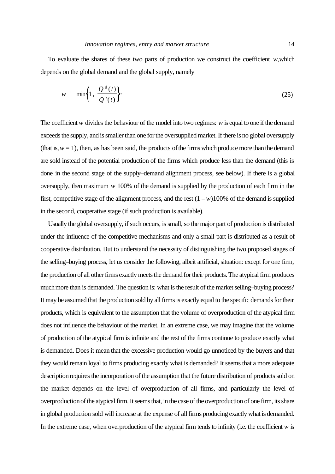To evaluate the shares of these two parts of production we construct the coefficient *w*,which depends on the global demand and the global supply, namely

$$
w \quad \min\left\{1, \frac{Q^d(t)}{Q^s(t)}\right\}.
$$
 (25)

The coefficient *w* divides the behaviour of the model into two regimes: *w* is equal to one if the demand exceeds the supply, and is smaller than one for the oversupplied market. If there is no global oversupply (that is,  $w = 1$ ), then, as has been said, the products of the firms which produce more than the demand are sold instead of the potential production of the firms which produce less than the demand (this is done in the second stage of the supply–demand alignment process, see below). If there is a global oversupply, then maximum *w* 100% of the demand is supplied by the production of each firm in the first, competitive stage of the alignment process, and the rest  $(1 - w)100\%$  of the demand is supplied in the second, cooperative stage (if such production is available).

Usually the global oversupply, if such occurs, is small, so the major part of production is distributed under the influence of the competitive mechanisms and only a small part is distributed as a result of cooperative distribution. But to understand the necessity of distinguishing the two proposed stages of the selling–buying process, let us consider the following, albeit artificial, situation: except for one firm, the production of all other firms exactly meets the demand for their products. The atypical firm produces much more than is demanded. The question is: what is the result of the market selling–buying process? It may be assumed that the production sold by all firms is exactly equal to the specific demands for their products, which is equivalent to the assumption that the volume of overproduction of the atypical firm does not influence the behaviour of the market. In an extreme case, we may imagine that the volume of production of the atypical firm is infinite and the rest of the firms continue to produce exactly what is demanded. Does it mean that the excessive production would go unnoticed by the buyers and that they would remain loyal to firms producing exactly what is demanded? It seems that a more adequate description requires the incorporation of the assumption that the future distribution of products sold on the market depends on the level of overproduction of all firms, and particularly the level of overproduction of the atypical firm. It seems that, in the case of the overproduction of one firm, its share in global production sold will increase at the expense of all firms producing exactly what is demanded. In the extreme case, when overproduction of the atypical firm tends to infinity (i.e. the coefficient  $w$  is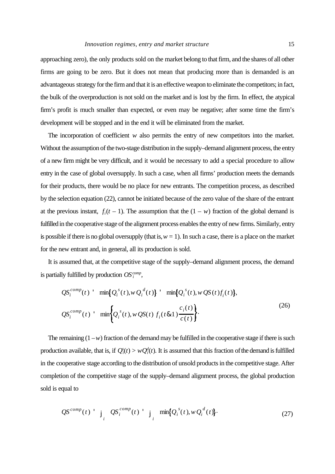approaching zero), the only products sold on the market belong to that firm, and the shares of all other firms are going to be zero. But it does not mean that producing more than is demanded is an advantageous strategy for the firm and that it is an effective weapon to eliminate the competitors; in fact, the bulk of the overproduction is not sold on the market and is lost by the firm. In effect, the atypical firm's profit is much smaller than expected, or even may be negative; after some time the firm's development will be stopped and in the end it will be eliminated from the market.

The incorporation of coefficient *w* also permits the entry of new competitors into the market. Without the assumption of the two-stage distribution in the supply–demand alignment process, the entry of a new firm might be very difficult, and it would be necessary to add a special procedure to allow entry in the case of global oversupply. In such a case, when all firms' production meets the demands for their products, there would be no place for new entrants. The competition process, as described by the selection equation (22), cannot be initiated because of the zero value of the share of the entrant at the previous instant,  $f_i(t-1)$ . The assumption that the  $(1 - w)$  fraction of the global demand is fulfilled in the cooperative stage of the alignment process enables the entry of new firms. Similarly, entry is possible if there is no global oversupply (that is,  $w = 1$ ). In such a case, there is a place on the market for the new entrant and, in general, all its production is sold.

It is assumed that, at the competitive stage of the supply–demand alignment process, the demand is partially fulfilled by production  $OS_i^{comp}$ ,

$$
QS_i^{comp}(t) \quad \min\{Q_i^s(t), wQ_i^d(t)\} \quad \min\{Q_i^s(t), wQS(t)f_i(t)\},
$$
\n
$$
QS_i^{comp}(t) \quad \min\{Q_i^s(t), wQS(t)f_i(t\&1)\frac{c_i(t)}{c(t)}\}.
$$
\n
$$
(26)
$$

The remaining  $(1 - w)$  fraction of the demand may be fulfilled in the cooperative stage if there is such production available, that is, if  $Q_i^s(t) > wQ_i^d(t)$ . It is assumed that this fraction of the demand is fulfilled in the cooperative stage according to the distribution of unsold products in the competitive stage. After completion of the competitive stage of the supply–demand alignment process, the global production sold is equal to

$$
QS^{comp}(t) \quad \mathbf{j}_i \quad QS_i^{comp}(t) \quad \mathbf{j}_i \quad \min\{Q_i^s(t), wQ_i^d(t)\}.
$$
 (27)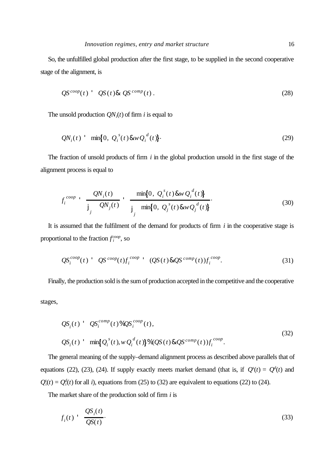So, the unfulfilled global production after the first stage, to be supplied in the second cooperative stage of the alignment, is

$$
QS^{coop}(t) \qquad QS(t) \& \; QS^{comp}(t) \,. \tag{28}
$$

The unsold production  $QN_i(t)$  of firm *i* is equal to

$$
QN_i(t) \quad \min\{0, \ Q_i^{\ s}(t) \&\ wQ_i^{\ d}(t)\}.
$$
 (29)

The fraction of unsold products of firm *i* in the global production unsold in the first stage of the alignment process is equal to

$$
f_i^{coop} \qquad \frac{QN_i(t)}{\mathbf{j}_j} \qquad \frac{\min\{0, \ Q_i^s(t) \& w Q_i^d(t)\}}{\mathbf{j}_j \qquad \min\{0, \ Q_j^s(t) \& w Q_j^d(t)\}}.
$$
\n(30)

It is assumed that the fulfilment of the demand for products of firm *i* in the cooperative stage is proportional to the fraction  $f_i^{coop}$ , so

$$
QS_i^{coop}(t) \quad \ \ QS^{coop}(t)f_i^{coop} \quad \ \ (QS(t) \& QS^{comp}(t))f_i^{coop}.\tag{31}
$$

Finally, the production sold is the sum of production accepted in the competitive and the cooperative stages,

$$
QSi(t) \quad \, \mathcal{QS}i^{comp}(t) \mathcal{S}QSicoop(t),
$$
\n
$$
QSi(t) \quad \min\{Qis(t), wQid(t)\mathcal{S}(\mathcal{QS}(t) \& QScomp(t))ficoop.
$$
\n(32)

The general meaning of the supply–demand alignment process as described above parallels that of equations (22), (23), (24). If supply exactly meets market demand (that is, if  $Q^{s}(t) = Q^{d}(t)$  and  $Q_i^s(t) = Q_i^d(t)$  for all *i*), equations from (25) to (32) are equivalent to equations (22) to (24).

The market share of the production sold of firm *i* is

$$
f_i(t) = \frac{QS_i(t)}{QS(t)}.
$$
\n(33)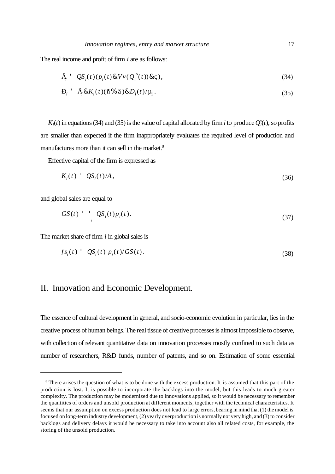The real income and profit of firm *i* are as follows:

$$
\tilde{A}_i^{\prime} = Q S_i(t) (p_i(t) \& Vv (Q_i^{\ s}(t)) \& g), \tag{34}
$$

$$
\mathbf{D}_i \quad \tilde{\mathbf{A}}_i \& K_i(t) (\tilde{\mathbf{n}} \mathcal{K} \mathbf{a}) \& D_i(t) / \mu_1. \tag{35}
$$

 $K_i(t)$  in equations (34) and (35) is the value of capital allocated by firm *i* to produce  $Q_i^s(t)$ , so profits are smaller than expected if the firm inappropriately evaluates the required level of production and manufactures more than it can sell in the market.<sup>8</sup>

Effective capital of the firm is expressed as

$$
K_i(t) \qquad \mathcal{Q}S_i(t)/A\,,\tag{36}
$$

and global sales are equal to

$$
GS(t) \stackrel{\text{!}}{=} \underset{i}{\mathcal{Q}}S_i(t)p_i(t). \tag{37}
$$

The market share of firm *i* in global sales is

$$
f_{s_i}(t) \cdot \mathcal{Q}_i(t) \, p_i(t) / GS(t). \tag{38}
$$

# II. Innovation and Economic Development.

The essence of cultural development in general, and socio-economic evolution in particular, lies in the creative process of human beings. The real tissue of creative processes is almost impossible to observe, with collection of relevant quantitative data on innovation processes mostly confined to such data as number of researchers, R&D funds, number of patents, and so on. Estimation of some essential

<sup>&</sup>lt;sup>8</sup> There arises the question of what is to be done with the excess production. It is assumed that this part of the production is lost. It is possible to incorporate the backlogs into the model, but this leads to much greater complexity. The production may be modernized due to innovations applied, so it would be necessary to remember the quantities of orders and unsold production at different moments, together with the technical characteristics. It seems that our assumption on excess production does not lead to large errors, bearing in mind that (1) the model is focused on long-term industry development, (2) yearly overproduction is normally not very high, and (3) to consider backlogs and delivery delays it would be necessary to take into account also all related costs, for example, the storing of the unsold production.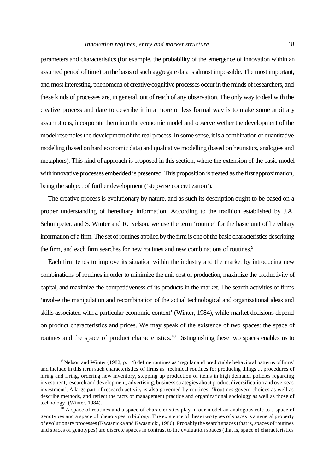parameters and characteristics (for example, the probability of the emergence of innovation within an assumed period of time) on the basis of such aggregate data is almost impossible. The most important, and most interesting, phenomena of creative/cognitive processes occur in the minds of researchers, and these kinds of processes are, in general, out of reach of any observation. The only way to deal with the creative process and dare to describe it in a more or less formal way is to make some arbitrary assumptions, incorporate them into the economic model and observe wether the development of the model resembles the development of the real process. In some sense, it is a combination of quantitative modelling (based on hard economic data) and qualitative modelling (based on heuristics, analogies and metaphors). This kind of approach is proposed in this section, where the extension of the basic model with innovative processes embedded is presented. This proposition is treated as the first approximation, being the subject of further development ('stepwise concretization').

The creative process is evolutionary by nature, and as such its description ought to be based on a proper understanding of hereditary information. According to the tradition established by J.A. Schumpeter, and S. Winter and R. Nelson, we use the term 'routine' for the basic unit of hereditary information of a firm. The set of routines applied by the firm is one of the basic characteristics describing the firm, and each firm searches for new routines and new combinations of routines.<sup>9</sup>

Each firm tends to improve its situation within the industry and the market by introducing new combinations of routines in order to minimize the unit cost of production, maximize the productivity of capital, and maximize the competitiveness of its products in the market. The search activities of firms 'involve the manipulation and recombination of the actual technological and organizational ideas and skills associated with a particular economic context' (Winter, 1984), while market decisions depend on product characteristics and prices. We may speak of the existence of two spaces: the space of routines and the space of product characteristics.<sup>10</sup> Distinguishing these two spaces enables us to

<sup>&</sup>lt;sup>9</sup> Nelson and Winter (1982, p. 14) define routines as 'regular and predictable behavioral patterns of firms' and include in this term such characteristics of firms as 'technical routines for producing things ... procedures of hiring and firing, ordering new inventory, stepping up production of items in high demand, policies regarding investment, research and development, advertising, business strategies about product diversification and overseas investment'. A large part of research activity is also governed by routines. 'Routines govern choices as well as describe methods, and reflect the facts of management practice and organizational sociology as well as those of technology' (Winter, 1984).

 $10$  A space of routines and a space of characteristics play in our model an analogous role to a space of genotypes and a space of phenotypes in biology. The existence of these two types of spaces is a general property of evolutionary processes (Kwasnicka and Kwasnicki, 1986). Probably the search spaces (that is, spaces of routines and spaces of genotypes) are discrete spaces in contrast to the evaluation spaces (that is, space of characteristics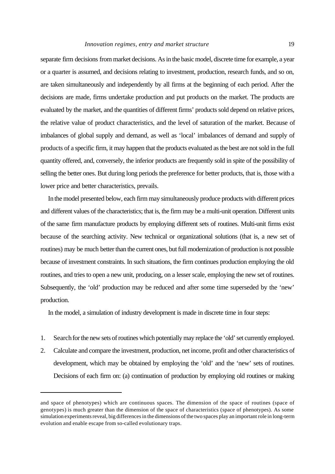separate firm decisions from market decisions. As in the basic model, discrete time for example, a year or a quarter is assumed, and decisions relating to investment, production, research funds, and so on, are taken simultaneously and independently by all firms at the beginning of each period. After the decisions are made, firms undertake production and put products on the market. The products are evaluated by the market, and the quantities of different firms' products sold depend on relative prices, the relative value of product characteristics, and the level of saturation of the market. Because of imbalances of global supply and demand, as well as 'local' imbalances of demand and supply of products of a specific firm, it may happen that the products evaluated as the best are not sold in the full quantity offered, and, conversely, the inferior products are frequently sold in spite of the possibility of selling the better ones. But during long periods the preference for better products, that is, those with a lower price and better characteristics, prevails.

In the model presented below, each firm may simultaneously produce products with different prices and different values of the characteristics; that is, the firm may be a multi-unit operation. Different units of the same firm manufacture products by employing different sets of routines. Multi-unit firms exist because of the searching activity. New technical or organizational solutions (that is, a new set of routines) may be much better than the current ones, but full modernization of production is not possible because of investment constraints. In such situations, the firm continues production employing the old routines, and tries to open a new unit, producing, on a lesser scale, employing the new set of routines. Subsequently, the 'old' production may be reduced and after some time superseded by the 'new' production.

In the model, a simulation of industry development is made in discrete time in four steps:

- 1. Search for the new sets of routines which potentially may replace the 'old' set currently employed.
- 2. Calculate and compare the investment, production, net income, profit and other characteristics of development, which may be obtained by employing the 'old' and the 'new' sets of routines. Decisions of each firm on: (a) continuation of production by employing old routines or making

and space of phenotypes) which are continuous spaces. The dimension of the space of routines (space of genotypes) is much greater than the dimension of the space of characteristics (space of phenotypes). As some simulation experiments reveal, big differences in the dimensions of the two spaces play an important role in long-term evolution and enable escape from so-called evolutionary traps.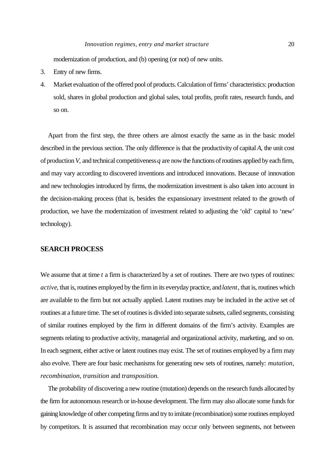modernization of production, and (b) opening (or not) of new units.

- 3. Entry of new firms.
- 4. Market evaluation of the offered pool of products. Calculation of firms' characteristics: production sold, shares in global production and global sales, total profits, profit rates, research funds, and so on.

Apart from the first step, the three others are almost exactly the same as in the basic model described in the previous section. The only difference is that the productivity of capital *A*, the unit cost of production *V*, and technical competitiveness *q* are now the functions of routines applied by each firm, and may vary according to discovered inventions and introduced innovations. Because of innovation and new technologies introduced by firms, the modernization investment is also taken into account in the decision-making process (that is, besides the expansionary investment related to the growth of production, we have the modernization of investment related to adjusting the 'old' capital to 'new' technology).

## **SEARCH PROCESS**

We assume that at time *t* a firm is characterized by a set of routines. There are two types of routines: *active*, that is, routines employed by the firm in its everyday practice, and *latent*, that is, routines which are available to the firm but not actually applied. Latent routines may be included in the active set of routines at a future time. The set of routines is divided into separate subsets, called segments, consisting of similar routines employed by the firm in different domains of the firm's activity. Examples are segments relating to productive activity, managerial and organizational activity, marketing, and so on. In each segment, either active or latent routines may exist. The set of routines employed by a firm may also evolve. There are four basic mechanisms for generating new sets of routines, namely: *mutation*, *recombination*, *transition* and *transposition.*

The probability of discovering a new routine (mutation) depends on the research funds allocated by the firm for autonomous research or in-house development. The firm may also allocate some funds for gaining knowledge of other competing firms and try to imitate (recombination) some routines employed by competitors. It is assumed that recombination may occur only between segments, not between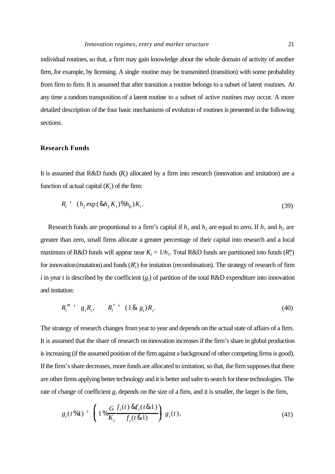individual routines, so that, a firm may gain knowledge about the whole domain of activity of another firm, for example, by licensing. A single routine may be transmitted (transition) with some probability from firm to firm. It is assumed that after transition a routine belongs to a subset of latent routines. At any time a random transposition of a latent routine to a subset of active routines may occur. A more detailed description of the four basic mechanisms of evolution of routines is presented in the following sections.

## **Research Funds**

It is assumed that  $R&D$  funds  $(R<sub>i</sub>)$  allocated by a firm into research (innovation and imitation) are a function of actual capital  $(K_i)$  of the firm:

$$
R_i \quad (h_2 \exp(\& h_1 K_i) \& h_0) K_i. \tag{39}
$$

Research funds are proportional to a firm's capital if  $h_1$  and  $h_2$  are equal to zero. If  $h_1$  and  $h_2$  are greater than zero, small firms allocate a greater percentage of their capital into research and a local maximum of R&D funds will appear near  $K_i = 1/h_1$ . Total R&D funds are partitioned into funds  $(R_i^m)$ for innovation (mutation) and funds ( $R_i^r$ ) for imitation (recombination). The strategy of research of firm *i* in year *t* is described by the coefficient  $(g_i)$  of partition of the total R&D expenditure into innovation and imitation:

$$
R_i^m = g_i R_i, \qquad R_i^{r-1} \quad (1 \& g_i) R_i. \tag{40}
$$

The strategy of research changes from year to year and depends on the actual state of affairs of a firm. It is assumed that the share of research on innovation increases if the firm's share in global production is increasing (if the assumed position of the firm against a background of other competing firms is good). If the firm's share decreases, more funds are allocated to imitation, so that, the firm supposes that there are other firms applying better technology and it is better and safer to search for these technologies. The rate of change of coefficient  $g_i$  depends on the size of a firm, and it is smaller, the larger is the firm,

$$
g_i(t\%1) \cdot \left(1\% \frac{G f_i(t) \, \delta f_i(t\&1)}{K_i} \right) g_i(t),\tag{41}
$$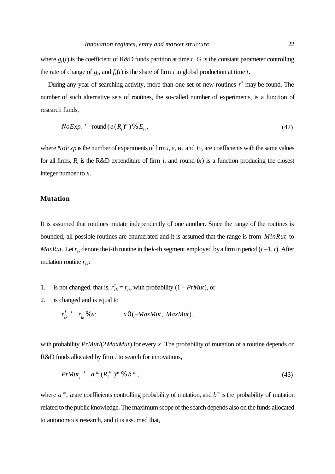where  $g_i(t)$  is the coefficient of R&D funds partition at time  $t$ ,  $G$  is the constant parameter controlling the rate of change of  $g_i$ , and  $f_i(t)$  is the share of firm *i* in global production at time *t*.

During any year of searching activity, more than one set of new routines *r \** may be found. The number of such alternative sets of routines, the so-called number of experiments, is a function of research funds,

$$
NoExp_i \quad \text{round}(e(R_i)^6) \, \%\ E_0,\tag{42}
$$

where  $NoExp$  is the number of experiments of firm *i*, *e*,  $\emptyset$ , and  $E_0$  are coefficients with the same values for all firms,  $R_i$  is the R&D expenditure of firm *i*, and round  $(x)$  is a function producing the closest integer number to *x*.

## **Mutation**

It is assumed that routines mutate independently of one another. Since the range of the routines is bounded, all possible routines are enumerated and it is assumed that the range is from *MinRut* to *MaxRut*. Let  $r_{lk}$  denote the *l*-th routine in the *k*-th segment employed by a firm in period ( $t-1$ ,  $t$ ). After mutation routine  $r_{lk}$ :

- 1. is not changed, that is,  $r^*_{lk} = r_{lk}$ , with probability  $(1 PrMut)$ , or
- 2. is changed and is equal to

$$
r_{lk}^{\zeta} \qquad r_{lk} \mathcal{C} \times x; \qquad x\mathbf{0}(-MaxMut, MaxMut),
$$

with probability *PrMut*/(2*MaxMut*) for every *x*. The probability of mutation of a routine depends on R&D funds allocated by firm *i* to search for innovations,

$$
PrMult_i \quad a^m (R_i^m)^{\mathfrak{B}} \mathfrak{B} b^m,
$$
\n
$$
(43)
$$

where  $a^m$ , æ are coefficients controlling probability of mutation, and  $b^m$  is the probability of mutation related to the public knowledge. The maximum scope of the search depends also on the funds allocated to autonomous research, and it is assumed that,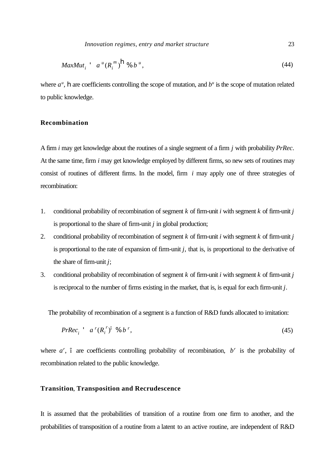$$
MaxMut_i \qquad a^u(R_i^m)^\mathsf{h} \mathrel{\mathcal{H}} b^u,
$$
\n
$$
(44)
$$

where  $a^u$ , h are coefficients controlling the scope of mutation, and  $b^u$  is the scope of mutation related to public knowledge.

# **Recombination**

A firm *i* may get knowledge about the routines of a single segment of a firm *j* with probability *PrRec*. At the same time, firm *i* may get knowledge employed by different firms, so new sets of routines may consist of routines of different firms. In the model, firm *i* may apply one of three strategies of recombination:

- 1. conditional probability of recombination of segment *k* of firm-unit *i* with segment *k* of firm-unit *j* is proportional to the share of firm-unit *j* in global production;
- 2. conditional probability of recombination of segment *k* of firm-unit *i* with segment *k* of firm-unit *j* is proportional to the rate of expansion of firm-unit *j*, that is, is proportional to the derivative of the share of firm-unit *j*;
- 3. conditional probability of recombination of segment *k* of firm-unit *i* with segment *k* of firm-unit *j* is reciprocal to the number of firms existing in the market, that is, is equal for each firm-unit *j*.

The probability of recombination of a segment is a function of R&D funds allocated to imitation:

$$
PrRec_i \quad a^r(R_i^r)^i \quad \text{for} \quad b^r,
$$
\n
$$
\tag{45}
$$

where  $a^r$ ,  $\hat{i}$  are coefficients controlling probability of recombination,  $b^r$  is the probability of recombination related to the public knowledge.

## **Transition**, **Transposition and Recrudescence**

It is assumed that the probabilities of transition of a routine from one firm to another, and the probabilities of transposition of a routine from a latent to an active routine, are independent of R&D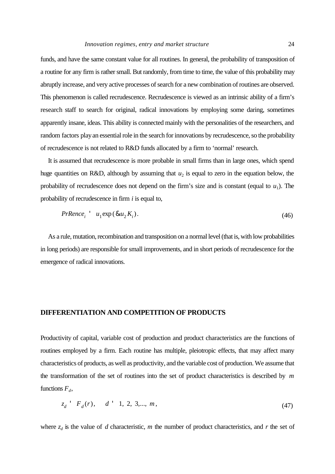funds, and have the same constant value for all routines. In general, the probability of transposition of a routine for any firm is rather small. But randomly, from time to time, the value of this probability may abruptly increase, and very active processes of search for a new combination of routines are observed. This phenomenon is called recrudescence. Recrudescence is viewed as an intrinsic ability of a firm's research staff to search for original, radical innovations by employing some daring, sometimes apparently insane, ideas. This ability is connected mainly with the personalities of the researchers, and random factors play an essential role in the search for innovations by recrudescence, so the probability of recrudescence is not related to R&D funds allocated by a firm to 'normal' research.

It is assumed that recrudescence is more probable in small firms than in large ones, which spend huge quantities on R&D, although by assuming that  $u_2$  is equal to zero in the equation below, the probability of recrudescence does not depend on the firm's size and is constant (equal to  $u_1$ ). The probability of recrudescence in firm *i* is equal to,

$$
PrRence_i \t u_1 \exp(\& u_2 K_i). \t(46)
$$

As a rule, mutation, recombination and transposition on a normal level (that is, with low probabilities in long periods) are responsible for small improvements, and in short periods of recrudescence for the emergence of radical innovations.

## **DIFFERENTIATION AND COMPETITION OF PRODUCTS**

Productivity of capital, variable cost of production and product characteristics are the functions of routines employed by a firm. Each routine has multiple, pleiotropic effects, that may affect many characteristics of products, as well as productivity, and the variable cost of production. We assume that the transformation of the set of routines into the set of product characteristics is described by *m* functions  $F_d$ ,

$$
z_d \stackrel{\text{!}}{=} F_d(r), \quad d \stackrel{\text{!}}{=} 1, 2, 3, \dots, m,\tag{47}
$$

where  $z_d$  is the value of *d* characteristic, *m* the number of product characteristics, and *r* the set of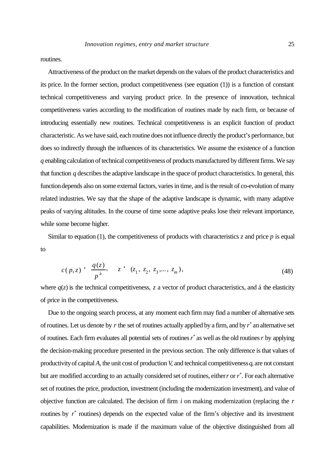routines.

Attractiveness of the product on the market depends on the values of the product characteristics and its price. In the former section, product competitiveness (see equation (1)) is a function of constant technical competitiveness and varying product price. In the presence of innovation, technical competitiveness varies according to the modification of routines made by each firm, or because of introducing essentially new routines. Technical competitiveness is an explicit function of product characteristic. As we have said, each routine does not influence directly the product's performance, but does so indirectly through the influences of its characteristics. We assume the existence of a function *q* enabling calculation of technical competitiveness of products manufactured by different firms. We say that function *q* describes the adaptive landscape in the space of product characteristics. In general, this function depends also on some external factors, varies in time, and is the result of co-evolution of many related industries. We say that the shape of the adaptive landscape is dynamic, with many adaptive peaks of varying altitudes. In the course of time some adaptive peaks lose their relevant importance, while some become higher.

Similar to equation (1), the competitiveness of products with characteristics  $\zeta$  and price  $p$  is equal to

$$
c(p, z) = \frac{q(z)}{p^{\hat{a}}}, \quad z = (z_1, z_2, z_3, \dots, z_m), \tag{48}
$$

where  $q(z)$  is the technical competitiveness, *z* a vector of product characteristics, and á the elasticity of price in the competitiveness.

Due to the ongoing search process, at any moment each firm may find a number of alternative sets of routines. Let us denote by *r* the set of routines actually applied by a firm, and by *r \** an alternative set of routines. Each firm evaluates all potential sets of routines*r \** as well as the old routines *r* by applying the decision-making procedure presented in the previous section. The only difference is that values of productivity of capital *A*, the unit cost of production *V*, and technical competitiveness *q,* are not constant but are modified according to an actually considered set of routines, either *r* or*r \** . For each alternative set of routines the price, production, investment (including the modernization investment), and value of objective function are calculated. The decision of firm *i* on making modernization (replacing the *r* routines by  $r^*$  routines) depends on the expected value of the firm's objective and its investment capabilities. Modernization is made if the maximum value of the objective distinguished from all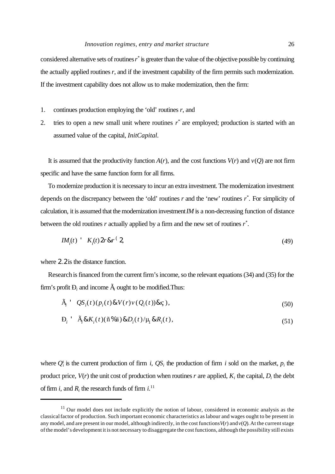considered alternative sets of routines *r \** is greater than the value of the objective possible by continuing the actually applied routines *r*, and if the investment capability of the firm permits such modernization. If the investment capability does not allow us to make modernization, then the firm:

- 1. continues production employing the 'old' routines *r*, and
- 2. tries to open a new small unit where routines  $r^*$  are employed; production is started with an assumed value of the capital, *InitCapital.*

It is assumed that the productivity function  $A(r)$ , and the cost functions  $V(r)$  and  $v(Q)$  are not firm specific and have the same function form for all firms.

To modernize production it is necessary to incur an extra investment. The modernization investment depends on the discrepancy between the 'old' routines *r* and the 'new' routines *r \** . For simplicity of calculation, it is assumed that the modernization investment *IM* is a non-decreasing function of distance between the old routines *r* actually applied by a firm and the new set of routines *r \** .

$$
I M_i(t) \qquad K_i(t) 2r \& r^2 \tag{49}
$$

where 2..2 is the distance function.

Research is financed from the current firm's income, so the relevant equations (34) and (35) for the firm's profit  $D_i$  and income  $\tilde{A}_i$  ought to be modified. Thus:

$$
\tilde{A}_i \quad \mathcal{Q}S_i(t)(p_i(t)\&V(r)v(\mathcal{Q}_i(t))\&\varphi),\tag{50}
$$

$$
D_i \stackrel{\text{d}}{=} \tilde{A}_i \& K_i(t) (\tilde{n} \& \tilde{a}) \& D_i(t) / \mu_1 \& R_i(t), \tag{51}
$$

where  $Q_i^s$  is the current production of firm *i*,  $QS_i$  the production of firm *i* sold on the market,  $p_i$  the product price,  $V(r)$  the unit cost of production when routines  $r$  are applied,  $K_i$  the capital,  $D_i$  the debt of firm *i*, and  $R_i$  the research funds of firm  $i$ .<sup>11</sup>

 $11$  Our model does not include explicitly the notion of labour, considered in economic analysis as the classical factor of production. Such important economic characteristics as labour and wages ought to be present in any model, and are present in our model, although indirectly, in the cost functions  $V(r)$  and  $v(0)$ . At the current stage of the model's development it is not necessary to disaggregate the cost functions, although the possibility still exists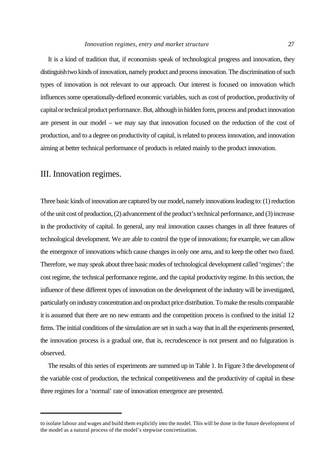It is a kind of tradition that, if economists speak of technological progress and innovation, they distinguish two kinds of innovation, namely product and process innovation. The discrimination of such types of innovation is not relevant to our approach. Our interest is focused on innovation which influences some operationally-defined economic variables, such as cost of production, productivity of capital or technical product performance. But, although in hidden form, process and product innovation are present in our model – we may say that innovation focused on the reduction of the cost of production, and to a degree on productivity of capital, is related to process innovation, and innovation aiming at better technical performance of products is related mainly to the product innovation.

# III. Innovation regimes.

Three basic kinds of innovation are captured by our model, namely innovations leading to: (1) reduction of the unit cost of production, (2) advancement of the product's technical performance, and (3) increase in the productivity of capital. In general, any real innovation causes changes in all three features of technological development. We are able to control the type of innovations; for example, we can allow the emergence of innovations which cause changes in only one area, and to keep the other two fixed. Therefore, we may speak about three basic modes of technological development called 'regimes': the cost regime, the technical performance regime, and the capital productivity regime. In this section, the influence of these different types of innovation on the development of the industry will be investigated, particularly on industry concentration and on product price distribution. To make the results comparable it is assumed that there are no new entrants and the competition process is confined to the initial 12 firms. The initial conditions of the simulation are set in such a way that in all the experiments presented, the innovation process is a gradual one, that is, recrudescence is not present and no fulguration is observed.

The results of this series of experiments are summed up in Table 1. In Figure 3 the development of the variable cost of production, the technical competitiveness and the productivity of capital in these three regimes for a 'normal' rate of innovation emergence are presented.

to isolate labour and wages and build them explicitly into the model. This will be done in the future development of the model as a natural process of the model's stepwise concretization.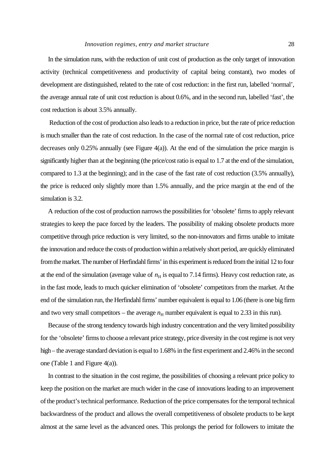In the simulation runs, with the reduction of unit cost of production as the only target of innovation activity (technical competitiveness and productivity of capital being constant), two modes of development are distinguished, related to the rate of cost reduction: in the first run, labelled 'normal', the average annual rate of unit cost reduction is about 0.6%, and in the second run, labelled 'fast', the cost reduction is about 3.5% annually.

 Reduction of the cost of production also leads to a reduction in price, but the rate of price reduction is much smaller than the rate of cost reduction. In the case of the normal rate of cost reduction, price decreases only  $0.25\%$  annually (see Figure 4(a)). At the end of the simulation the price margin is significantly higher than at the beginning (the price/cost ratio is equal to 1.7 at the end of the simulation, compared to 1.3 at the beginning); and in the case of the fast rate of cost reduction (3.5% annually), the price is reduced only slightly more than 1.5% annually, and the price margin at the end of the simulation is 3.2.

A reduction of the cost of production narrows the possibilities for 'obsolete' firms to apply relevant strategies to keep the pace forced by the leaders. The possibility of making obsolete products more competitive through price reduction is very limited, so the non-innovators and firms unable to imitate the innovation and reduce the costs of production within a relatively short period, are quickly eliminated from the market. The number of Herfindahl firms' in this experiment is reduced from the initial 12 to four at the end of the simulation (average value of  $n<sub>H</sub>$  is equal to 7.14 firms). Heavy cost reduction rate, as in the fast mode, leads to much quicker elimination of 'obsolete' competitors from the market. At the end of the simulation run, the Herfindahl firms' number equivalent is equal to 1.06 (there is one big firm and two very small competitors – the average  $n<sub>H</sub>$  number equivalent is equal to 2.33 in this run).

Because of the strong tendency towards high industry concentration and the very limited possibility for the 'obsolete' firms to choose a relevant price strategy, price diversity in the cost regime is not very high – the average standard deviation is equal to 1.68% in the first experiment and 2.46% in the second one (Table 1 and Figure 4(a)).

In contrast to the situation in the cost regime, the possibilities of choosing a relevant price policy to keep the position on the market are much wider in the case of innovations leading to an improvement of the product's technical performance. Reduction of the price compensates for the temporal technical backwardness of the product and allows the overall competitiveness of obsolete products to be kept almost at the same level as the advanced ones. This prolongs the period for followers to imitate the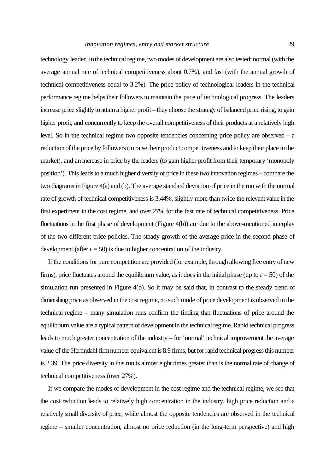technology leader. In the technical regime, two modes of development are also tested: normal (with the average annual rate of technical competitiveness about 0.7%), and fast (with the annual growth of technical competitiveness equal to 3.2%). The price policy of technological leaders in the technical performance regime helps their followers to maintain the pace of technological progress. The leaders increase price slightly to attain a higher profit – they choose the strategy of balanced price rising, to gain higher profit, and concurrently to keep the overall competitiveness of their products at a relatively high level. So in the technical regime two opposite tendencies concerning price policy are observed – a reduction of the price by followers (to raise their product competitiveness and to keep their place in the market), and an increase in price by the leaders (to gain higher profit from their temporary 'monopoly position'). This leads to a much higher diversity of price in these two innovation regimes – compare the two diagrams in Figure 4(a) and (b). The average standard deviation of price in the run with the normal rate of growth of technical competitiveness is 3.44%, slightly more than twice the relevant value in the first experiment in the cost regime, and over 27% for the fast rate of technical competitiveness. Price fluctuations in the first phase of development (Figure 4(b)) are due to the above-mentioned interplay of the two different price policies. The steady growth of the average price in the second phase of development (after  $t = 50$ ) is due to higher concentration of the industry.

If the conditions for pure competition are provided (for example, through allowing free entry of new firms), price fluctuates around the equilibrium value, as it does in the initial phase (up to  $t = 50$ ) of the simulation run presented in Figure 4(b). So it may be said that, in contrast to the steady trend of diminishing price as observed in the cost regime, no such mode of price development is observed in the technical regime – many simulation runs confirm the finding that fluctuations of price around the equilibrium value are a typical pattern of development in the technical regime. Rapid technical progress leads to much greater concentration of the industry – for 'normal' technical improvement the average value of the Herfindahl firm number equivalent is 8.9 firms, but for rapid technical progress this number is 2.39. The price diversity in this run is almost eight times greater than is the normal rate of change of technical competitiveness (over 27%).

If we compare the modes of development in the cost regime and the technical regime, we see that the cost reduction leads to relatively high concentration in the industry, high price reduction and a relatively small diversity of price, while almost the opposite tendencies are observed in the technical regime – smaller concentration, almost no price reduction (in the long-term perspective) and high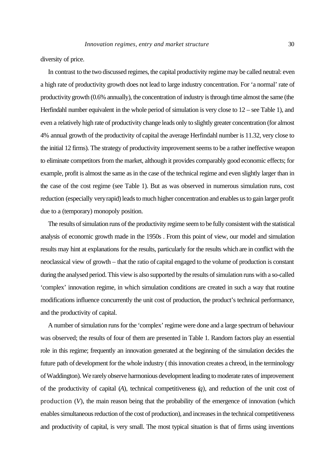diversity of price.

In contrast to the two discussed regimes, the capital productivity regime may be called neutral: even a high rate of productivity growth does not lead to large industry concentration. For 'a normal' rate of productivity growth (0.6% annually), the concentration of industry is through time almost the same (the Herfindahl number equivalent in the whole period of simulation is very close to  $12$  – see Table 1), and even a relatively high rate of productivity change leads only to slightly greater concentration (for almost 4% annual growth of the productivity of capital the average Herfindahl number is 11.32, very close to the initial 12 firms). The strategy of productivity improvement seems to be a rather ineffective weapon to eliminate competitors from the market, although it provides comparably good economic effects; for example, profit is almost the same as in the case of the technical regime and even slightly larger than in the case of the cost regime (see Table 1). But as was observed in numerous simulation runs, cost reduction (especially very rapid) leads to much higher concentration and enables us to gain larger profit due to a (temporary) monopoly position.

The results of simulation runs of the productivity regime seem to be fully consistent with the statistical analysis of economic growth made in the 1950s . From this point of view, our model and simulation results may hint at explanations for the results, particularly for the results which are in conflict with the neoclassical view of growth – that the ratio of capital engaged to the volume of production is constant during the analysed period. This view is also supported by the results of simulation runs with a so-called 'complex' innovation regime, in which simulation conditions are created in such a way that routine modifications influence concurrently the unit cost of production, the product's technical performance, and the productivity of capital.

A number of simulation runs for the 'complex' regime were done and a large spectrum of behaviour was observed; the results of four of them are presented in Table 1. Random factors play an essential role in this regime; frequently an innovation generated at the beginning of the simulation decides the future path of development for the whole industry ( this innovation creates a chreod, in the terminology of Waddington). We rarely observe harmonious development leading to moderate rates of improvement of the productivity of capital (*A*), technical competitiveness (*q*), and reduction of the unit cost of production (*V*), the main reason being that the probability of the emergence of innovation (which enables simultaneous reduction of the cost of production), and increases in the technical competitiveness and productivity of capital, is very small. The most typical situation is that of firms using inventions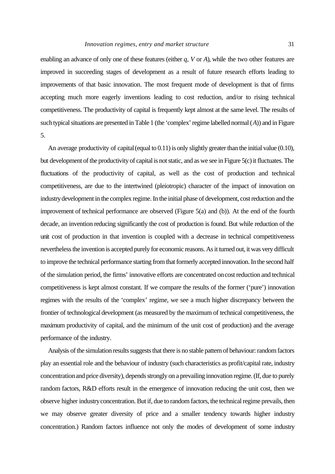enabling an advance of only one of these features (either *q*, *V* or *A*), while the two other features are improved in succeeding stages of development as a result of future research efforts leading to improvements of that basic innovation. The most frequent mode of development is that of firms accepting much more eagerly inventions leading to cost reduction, and/or to rising technical competitiveness. The productivity of capital is frequently kept almost at the same level. The results of such typical situations are presented in Table 1 (the 'complex' regime labelled normal (*A*)) and in Figure 5.

An average productivity of capital (equal to 0.11) is only slightly greater than the initial value (0.10), but development of the productivity of capital is not static, and as we see in Figure 5(c) it fluctuates. The fluctuations of the productivity of capital, as well as the cost of production and technical competitiveness, are due to the intertwined (pleiotropic) character of the impact of innovation on industry development in the complex regime. In the initial phase of development, cost reduction and the improvement of technical performance are observed (Figure 5(a) and (b)). At the end of the fourth decade, an invention reducing significantly the cost of production is found. But while reduction of the unit cost of production in that invention is coupled with a decrease in technical competitiveness nevertheless the invention is accepted purely for economic reasons. As it turned out, it was very difficult to improve the technical performance starting from that formerly accepted innovation. In the second half of the simulation period, the firms' innovative efforts are concentrated on cost reduction and technical competitiveness is kept almost constant. If we compare the results of the former ('pure') innovation regimes with the results of the 'complex' regime, we see a much higher discrepancy between the frontier of technological development (as measured by the maximum of technical competitiveness, the maximum productivity of capital, and the minimum of the unit cost of production) and the average performance of the industry.

Analysis of the simulation results suggests that there is no stable pattern of behaviour: random factors play an essential role and the behaviour of industry (such characteristics as profit/capital rate, industry concentration and price diversity), depends strongly on a prevailing innovation regime. (If, due to purely random factors, R&D efforts result in the emergence of innovation reducing the unit cost, then we observe higher industry concentration. But if, due to random factors, the technical regime prevails, then we may observe greater diversity of price and a smaller tendency towards higher industry concentration.) Random factors influence not only the modes of development of some industry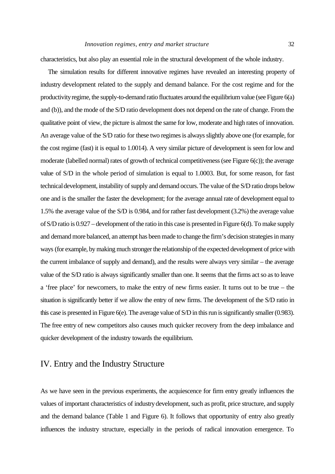characteristics, but also play an essential role in the structural development of the whole industry.

The simulation results for different innovative regimes have revealed an interesting property of industry development related to the supply and demand balance. For the cost regime and for the productivity regime, the supply-to-demand ratio fluctuates around the equilibrium value (see Figure 6(a) and (b)), and the mode of the S/D ratio development does not depend on the rate of change. From the qualitative point of view, the picture is almost the same for low, moderate and high rates of innovation. An average value of the S/D ratio for these two regimes is always slightly above one (for example, for the cost regime (fast) it is equal to 1.0014). A very similar picture of development is seen for low and moderate (labelled normal) rates of growth of technical competitiveness (see Figure 6(c)); the average value of S/D in the whole period of simulation is equal to 1.0003. But, for some reason, for fast technical development, instability of supply and demand occurs. The value of the S/D ratio drops below one and is the smaller the faster the development; for the average annual rate of development equal to 1.5% the average value of the S/D is 0.984, and for rather fast development (3.2%) the average value of S/D ratio is 0.927 – development of the ratio in this case is presented in Figure 6(d). To make supply and demand more balanced, an attempt has been made to change the firm's decision strategies in many ways (for example, by making much stronger the relationship of the expected development of price with the current imbalance of supply and demand), and the results were always very similar – the average value of the S/D ratio is always significantly smaller than one. It seems that the firms act so as to leave a 'free place' for newcomers, to make the entry of new firms easier. It turns out to be true – the situation is significantly better if we allow the entry of new firms. The development of the S/D ratio in this case is presented in Figure 6(e). The average value of S/D in this run is significantly smaller (0.983). The free entry of new competitors also causes much quicker recovery from the deep imbalance and quicker development of the industry towards the equilibrium.

# IV. Entry and the Industry Structure

As we have seen in the previous experiments, the acquiescence for firm entry greatly influences the values of important characteristics of industry development, such as profit, price structure, and supply and the demand balance (Table 1 and Figure 6). It follows that opportunity of entry also greatly influences the industry structure, especially in the periods of radical innovation emergence. To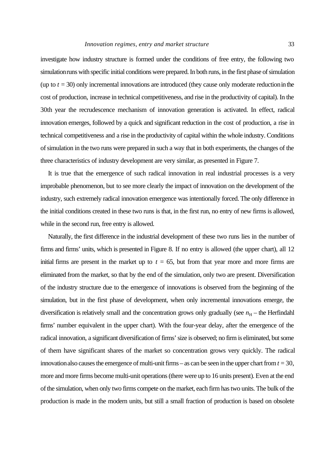investigate how industry structure is formed under the conditions of free entry, the following two simulation runs with specific initial conditions were prepared. In both runs, in the first phase of simulation (up to  $t = 30$ ) only incremental innovations are introduced (they cause only moderate reduction in the cost of production, increase in technical competitiveness, and rise in the productivity of capital). In the 30th year the recrudescence mechanism of innovation generation is activated. In effect, radical innovation emerges, followed by a quick and significant reduction in the cost of production, a rise in technical competitiveness and a rise in the productivity of capital within the whole industry. Conditions of simulation in the two runs were prepared in such a way that in both experiments, the changes of the three characteristics of industry development are very similar, as presented in Figure 7.

It is true that the emergence of such radical innovation in real industrial processes is a very improbable phenomenon, but to see more clearly the impact of innovation on the development of the industry, such extremely radical innovation emergence was intentionally forced. The only difference in the initial conditions created in these two runs is that, in the first run, no entry of new firms is allowed, while in the second run, free entry is allowed.

Naturally, the first difference in the industrial development of these two runs lies in the number of firms and firms' units, which is presented in Figure 8. If no entry is allowed (the upper chart), all 12 initial firms are present in the market up to  $t = 65$ , but from that year more and more firms are eliminated from the market, so that by the end of the simulation, only two are present. Diversification of the industry structure due to the emergence of innovations is observed from the beginning of the simulation, but in the first phase of development, when only incremental innovations emerge, the diversification is relatively small and the concentration grows only gradually (see  $n<sub>H</sub>$  – the Herfindahl firms' number equivalent in the upper chart). With the four-year delay, after the emergence of the radical innovation, a significant diversification of firms' size is observed; no firm is eliminated, but some of them have significant shares of the market so concentration grows very quickly. The radical innovation also causes the emergence of multi-unit firms – as can be seen in the upper chart from  $t = 30$ , more and more firms become multi-unit operations (there were up to 16 units present). Even at the end of the simulation, when only two firms compete on the market, each firm has two units. The bulk of the production is made in the modern units, but still a small fraction of production is based on obsolete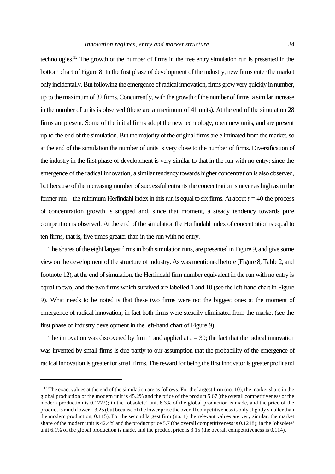technologies.<sup>12</sup> The growth of the number of firms in the free entry simulation run is presented in the bottom chart of Figure 8. In the first phase of development of the industry, new firms enter the market only incidentally. But following the emergence of radical innovation, firms grow very quickly in number, up to the maximum of 32 firms. Concurrently, with the growth of the number of firms, a similar increase in the number of units is observed (there are a maximum of 41 units). At the end of the simulation 28 firms are present. Some of the initial firms adopt the new technology, open new units, and are present up to the end of the simulation. But the majority of the original firms are eliminated from the market, so at the end of the simulation the number of units is very close to the number of firms. Diversification of the industry in the first phase of development is very similar to that in the run with no entry; since the emergence of the radical innovation, a similar tendency towards higher concentration is also observed, but because of the increasing number of successful entrants the concentration is never as high as in the former run – the minimum Herfindahl index in this run is equal to six firms. At about  $t = 40$  the process of concentration growth is stopped and, since that moment, a steady tendency towards pure competition is observed. At the end of the simulation the Herfindahl index of concentration is equal to ten firms, that is, five times greater than in the run with no entry.

The shares of the eight largest firms in both simulation runs, are presented in Figure 9, and give some view on the development of the structure of industry. As was mentioned before (Figure 8, Table 2, and footnote 12), at the end of simulation, the Herfindahl firm number equivalent in the run with no entry is equal to two, and the two firms which survived are labelled 1 and 10 (see the left-hand chart in Figure 9). What needs to be noted is that these two firms were not the biggest ones at the moment of emergence of radical innovation; in fact both firms were steadily eliminated from the market (see the first phase of industry development in the left-hand chart of Figure 9).

The innovation was discovered by firm 1 and applied at  $t = 30$ ; the fact that the radical innovation was invented by small firms is due partly to our assumption that the probability of the emergence of radical innovation is greater for small firms. The reward for being the first innovator is greater profit and

 $12$  The exact values at the end of the simulation are as follows. For the largest firm (no. 10), the market share in the global production of the modern unit is 45.2% and the price of the product 5.67 (the overall competitiveness of the modern production is 0.1222); in the 'obsolete' unit 6.3% of the global production is made, and the price of the product is much lower – 3.25 (but because of the lower price the overall competitiveness is only slightly smaller than the modern production, 0.115). For the second largest firm (no. 1) the relevant values are very similar, the market share of the modern unit is 42.4% and the product price 5.7 (the overall competitiveness is 0.1218); in the 'obsolete' unit 6.1% of the global production is made, and the product price is 3.15 (the overall competitiveness is 0.114).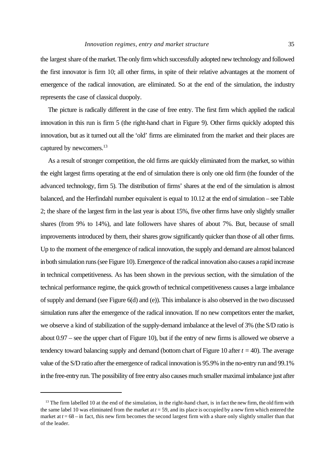the largest share of the market. The only firm which successfully adopted new technology and followed the first innovator is firm 10; all other firms, in spite of their relative advantages at the moment of emergence of the radical innovation, are eliminated. So at the end of the simulation, the industry represents the case of classical duopoly.

The picture is radically different in the case of free entry. The first firm which applied the radical innovation in this run is firm 5 (the right-hand chart in Figure 9). Other firms quickly adopted this innovation, but as it turned out all the 'old' firms are eliminated from the market and their places are captured by newcomers.<sup>13</sup>

As a result of stronger competition, the old firms are quickly eliminated from the market, so within the eight largest firms operating at the end of simulation there is only one old firm (the founder of the advanced technology, firm 5). The distribution of firms' shares at the end of the simulation is almost balanced, and the Herfindahl number equivalent is equal to 10.12 at the end of simulation – see Table 2; the share of the largest firm in the last year is about 15%, five other firms have only slightly smaller shares (from 9% to 14%), and late followers have shares of about 7%. But, because of small improvements introduced by them, their shares grow significantly quicker than those of all other firms. Up to the moment of the emergence of radical innovation, the supply and demand are almost balanced in both simulation runs (see Figure 10). Emergence of the radical innovation also causes a rapid increase in technical competitiveness. As has been shown in the previous section, with the simulation of the technical performance regime, the quick growth of technical competitiveness causes a large imbalance of supply and demand (see Figure 6(d) and (e)). This imbalance is also observed in the two discussed simulation runs after the emergence of the radical innovation. If no new competitors enter the market, we observe a kind of stabilization of the supply-demand imbalance at the level of 3% (the S/D ratio is about 0.97 – see the upper chart of Figure 10), but if the entry of new firms is allowed we observe a tendency toward balancing supply and demand (bottom chart of Figure 10 after  $t = 40$ ). The average value of the S/D ratio after the emergence of radical innovation is 95.9% in the no-entry run and 99.1% in the free-entry run. The possibility of free entry also causes much smaller maximal imbalance just after

<sup>&</sup>lt;sup>13</sup> The firm labelled 10 at the end of the simulation, in the right-hand chart, is in fact the new firm, the old firm with the same label 10 was eliminated from the market at  $t = 59$ , and its place is occupied by a new firm which entered the market at  $t = 68 - in$  fact, this new firm becomes the second largest firm with a share only slightly smaller than that of the leader.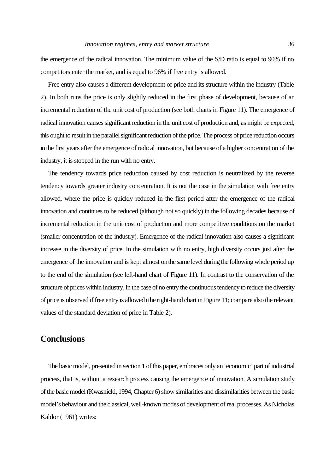the emergence of the radical innovation. The minimum value of the S/D ratio is equal to 90% if no competitors enter the market, and is equal to 96% if free entry is allowed.

Free entry also causes a different development of price and its structure within the industry (Table 2). In both runs the price is only slightly reduced in the first phase of development, because of an incremental reduction of the unit cost of production (see both charts in Figure 11). The emergence of radical innovation causes significant reduction in the unit cost of production and, as might be expected, this ought to result in the parallel significant reduction of the price. The process of price reduction occurs in the first years after the emergence of radical innovation, but because of a higher concentration of the industry, it is stopped in the run with no entry.

The tendency towards price reduction caused by cost reduction is neutralized by the reverse tendency towards greater industry concentration. It is not the case in the simulation with free entry allowed, where the price is quickly reduced in the first period after the emergence of the radical innovation and continues to be reduced (although not so quickly) in the following decades because of incremental reduction in the unit cost of production and more competitive conditions on the market (smaller concentration of the industry). Emergence of the radical innovation also causes a significant increase in the diversity of price. In the simulation with no entry, high diversity occurs just after the emergence of the innovation and is kept almost on the same level during the following whole period up to the end of the simulation (see left-hand chart of Figure 11). In contrast to the conservation of the structure of prices within industry, in the case of no entry the continuous tendency to reduce the diversity of price is observed if free entry is allowed (the right-hand chart in Figure 11; compare also the relevant values of the standard deviation of price in Table 2).

# **Conclusions**

The basic model, presented in section 1 of this paper, embraces only an 'economic' part of industrial process, that is, without a research process causing the emergence of innovation. A simulation study of the basic model (Kwasnicki, 1994, Chapter 6) show similarities and dissimilarities between the basic model's behaviour and the classical, well-known modes of development of real processes. As Nicholas Kaldor (1961) writes: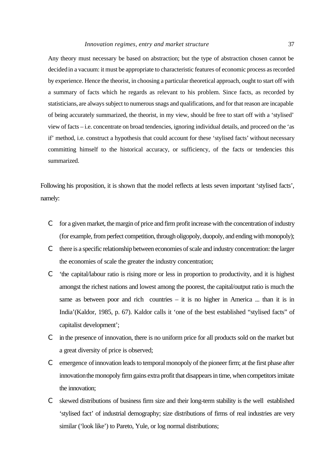Any theory must necessary be based on abstraction; but the type of abstraction chosen cannot be decided in a vacuum: it must be appropriate to characteristic features of economic process as recorded by experience. Hence the theorist, in choosing a particular theoretical approach, ought to start off with a summary of facts which he regards as relevant to his problem. Since facts, as recorded by statisticians, are always subject to numerous snags and qualifications, and for that reason are incapable of being accurately summarized, the theorist, in my view, should be free to start off with a 'stylised' view of facts – i.e. concentrate on broad tendencies, ignoring individual details, and proceed on the 'as if' method, i.e. construct a hypothesis that could account for these 'stylised facts' without necessary committing himself to the historical accuracy, or sufficiency, of the facts or tendencies this summarized.

Following his proposition, it is shown that the model reflects at lests seven important 'stylised facts', namely:

- C for a given market, the margin of price and firm profit increase with the concentration of industry (for example, from perfect competition, through oligopoly, duopoly, and ending with monopoly);
- C there is a specific relationship between economies of scale and industry concentration: the larger the economies of scale the greater the industry concentration;
- C 'the capital/labour ratio is rising more or less in proportion to productivity, and it is highest amongst the richest nations and lowest among the poorest, the capital/output ratio is much the same as between poor and rich countries – it is no higher in America ... than it is in India'(Kaldor, 1985, p. 67). Kaldor calls it 'one of the best established "stylised facts" of capitalist development';
- C in the presence of innovation, there is no uniform price for all products sold on the market but a great diversity of price is observed;
- C emergence of innovation leads to temporal monopoly of the pioneer firm; at the first phase after innovation the monopoly firm gains extra profit that disappears in time, when competitors imitate the innovation;
- C skewed distributions of business firm size and their long-term stability is the well established 'stylised fact' of industrial demography; size distributions of firms of real industries are very similar ('look like') to Pareto, Yule, or log normal distributions;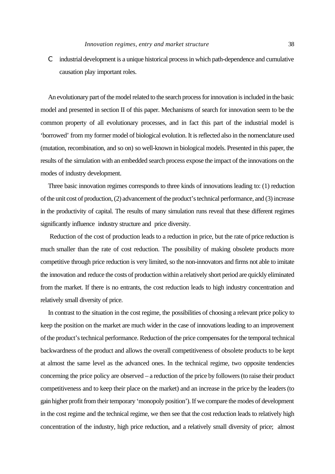C industrial development is a unique historical process in which path-dependence and cumulative causation play important roles.

An evolutionary part of the model related to the search process for innovation is included in the basic model and presented in section II of this paper. Mechanisms of search for innovation seem to be the common property of all evolutionary processes, and in fact this part of the industrial model is 'borrowed' from my former model of biological evolution. It is reflected also in the nomenclature used (mutation, recombination, and so on) so well-known in biological models. Presented in this paper, the results of the simulation with an embedded search process expose the impact of the innovations on the modes of industry development.

Three basic innovation regimes corresponds to three kinds of innovations leading to: (1) reduction of the unit cost of production, (2) advancement of the product's technical performance, and (3) increase in the productivity of capital. The results of many simulation runs reveal that these different regimes significantly influence industry structure and price diversity.

 Reduction of the cost of production leads to a reduction in price, but the rate of price reduction is much smaller than the rate of cost reduction. The possibility of making obsolete products more competitive through price reduction is very limited, so the non-innovators and firms not able to imitate the innovation and reduce the costs of production within a relatively short period are quickly eliminated from the market. If there is no entrants, the cost reduction leads to high industry concentration and relatively small diversity of price.

In contrast to the situation in the cost regime, the possibilities of choosing a relevant price policy to keep the position on the market are much wider in the case of innovations leading to an improvement of the product's technical performance. Reduction of the price compensates for the temporal technical backwardness of the product and allows the overall competitiveness of obsolete products to be kept at almost the same level as the advanced ones. In the technical regime, two opposite tendencies concerning the price policy are observed – a reduction of the price by followers (to raise their product competitiveness and to keep their place on the market) and an increase in the price by the leaders (to gain higher profit from their temporary 'monopoly position'). If we compare the modes of development in the cost regime and the technical regime, we then see that the cost reduction leads to relatively high concentration of the industry, high price reduction, and a relatively small diversity of price; almost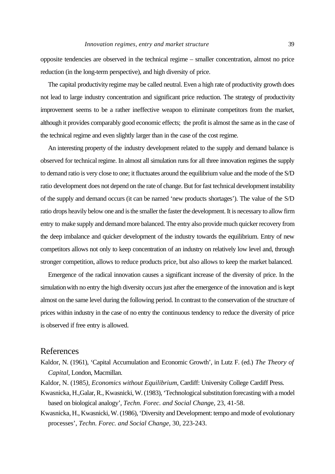opposite tendencies are observed in the technical regime – smaller concentration, almost no price reduction (in the long-term perspective), and high diversity of price.

The capital productivity regime may be called neutral. Even a high rate of productivity growth does not lead to large industry concentration and significant price reduction. The strategy of productivity improvement seems to be a rather ineffective weapon to eliminate competitors from the market, although it provides comparably good economic effects; the profit is almost the same as in the case of the technical regime and even slightly larger than in the case of the cost regime.

An interesting property of the industry development related to the supply and demand balance is observed for technical regime. In almost all simulation runs for all three innovation regimes the supply to demand ratio is very close to one; it fluctuates around the equilibrium value and the mode of the S/D ratio development does not depend on the rate of change. But for fast technical development instability of the supply and demand occurs (it can be named 'new products shortages'). The value of the S/D ratio drops heavily below one and is the smaller the faster the development. It is necessary to allow firm entry to make supply and demand more balanced. The entry also provide much quicker recovery from the deep imbalance and quicker development of the industry towards the equilibrium. Entry of new competitors allows not only to keep concentration of an industry on relatively low level and, through stronger competition, allows to reduce products price, but also allows to keep the market balanced.

Emergence of the radical innovation causes a significant increase of the diversity of price. In the simulation with no entry the high diversity occurs just after the emergence of the innovation and is kept almost on the same level during the following period. In contrast to the conservation of the structure of prices within industry in the case of no entry the continuous tendency to reduce the diversity of price is observed if free entry is allowed.

# References

- Kaldor, N. (1961), 'Capital Accumulation and Economic Growth', in Lutz F. (ed.) *The Theory of Capital*, London, Macmillan.
- .Kaldor, N. (1985*), Economics without Equilibrium*, Cardiff: University College Cardiff Press.
- Kwasnicka, H.,Galar, R., Kwasnicki, W. (1983), 'Technological substitution forecasting with a model based on biological analogy', *Techn. Forec. and Social Chang*e, 23, 41-58.
- Kwasnicka, H., Kwasnicki, W. (1986), 'Diversity and Development: tempo and mode of evolutionary processes', *Techn. Forec. and Social Change*, 30, 223-243.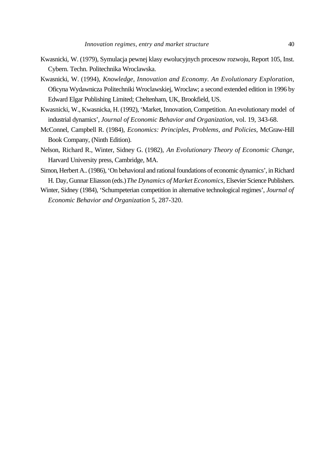- Kwasnicki, W. (1979), Symulacja pewnej klasy ewolucyjnych procesow rozwoju, Report 105, Inst. Cybern. Techn. Politechnika Wroclawska.
- Kwasnicki, W. (1994), *Knowledge, Innovation and Economy. An Evolutionary Exploration*, Oficyna Wydawnicza Politechniki Wroclawskiej, Wroclaw; a second extended edition in 1996 by Edward Elgar Publishing Limited; Cheltenham, UK, Brookfield, US.
- Kwasnicki, W., Kwasnicka, H. (1992), 'Market, Innovation, Competition. An evolutionary model of industrial dynamics', *Journal of Economic Behavior and Organization*, vol. 19, 343-68.
- McConnel, Campbell R. (1984), *Economics: Principles, Problems, and Policies*, McGraw-Hill Book Company, (Ninth Edition).
- Nelson, Richard R., Winter, Sidney G. (1982), *An Evolutionary Theory of Economic Change*, Harvard University press, Cambridge, MA.
- Simon, Herbert A.. (1986), 'On behavioral and rational foundations of economic dynamics', in Richard H. Day, Gunnar Eliasson (eds.) *The Dynamics of Market Economics*, Elsevier Science Publishers.
- Winter, Sidney (1984), 'Schumpeterian competition in alternative technological regimes', *Journal of Economic Behavior and Organization* 5, 287-320.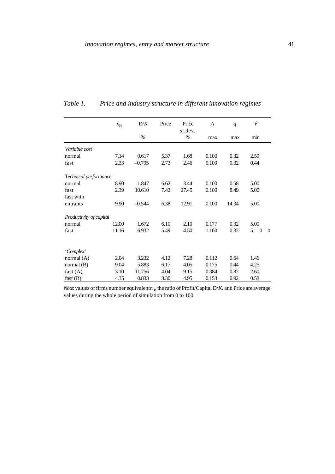|                         | $n_{\rm H}$ | E/K      | Price | Price   | A     | q     | V                                    |
|-------------------------|-------------|----------|-------|---------|-------|-------|--------------------------------------|
|                         |             |          |       | st.dev. |       |       |                                      |
|                         |             | $\%$     |       | %       | max   | max   | min                                  |
| Variable cost           |             |          |       |         |       |       |                                      |
| normal                  | 7.14        | 0.617    | 5.37  | 1.68    | 0.100 | 0.32  | 2.59                                 |
| fast                    | 2.33        | $-0.795$ | 2.73  | 2.46    | 0.100 | 0.32  | 0.44                                 |
| Technical performance   |             |          |       |         |       |       |                                      |
| normal                  | 8.90        | 1.847    | 6.62  | 3.44    | 0.100 | 0.58  | 5.00                                 |
| fast                    | 2.39        | 10.610   | 7.42  | 27.45   | 0.100 | 8.49  | 5.00                                 |
| fast with               |             |          |       |         |       |       |                                      |
| entrants                | 9.90        | $-0.544$ | 6.38  | 12.91   | 0.100 | 14.34 | 5.00                                 |
| Productivity of capital |             |          |       |         |       |       |                                      |
| normal                  | 12.00       | 1.672    | 6.10  | 2.10    | 0.177 | 0.32  | 5.00                                 |
| fast                    | 11.16       | 6.932    | 5.49  | 4.50    | 1.160 | 0.32  | 5.<br>$\mathbf{0}$<br>$\overline{0}$ |
|                         |             |          |       |         |       |       |                                      |
| 'Complex'               |             |          |       |         |       |       |                                      |
| normal $(A)$            | 2.04        | 3.232    | 4.12  | 7.28    | 0.112 | 0.64  | 1.46                                 |
| normal $(B)$            | 9.04        | 5.883    | 6.17  | 4.05    | 0.175 | 0.44  | 4.25                                 |
| fast(A)                 | 3.10        | 11.756   | 4.04  | 9.15    | 0.384 | 0.82  | 2.60                                 |
| fast(B)                 | 4.35        | 0.833    | 3.30  | 4.95    | 0.153 | 0.92  | 0.58                                 |

*Table 1. Price and industry structure in different innovation regimes*

*Note*: values of firms number equivalent $n_{\rm H}$ , the ratio of Profit/Capital Đ/*K*, and Price are average values during the whole period of simulation from 0 to 100.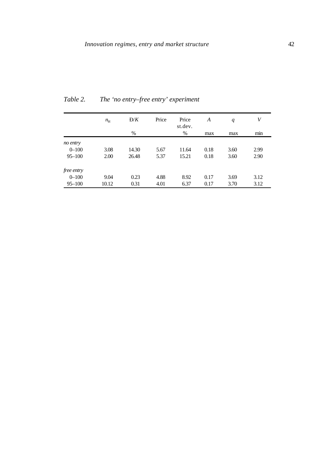|            | $n_{\rm H}$ | E/K   | Price | Price<br>st.dev. | A    | q    | V    |
|------------|-------------|-------|-------|------------------|------|------|------|
|            |             | $\%$  |       | $\%$             | max  | max  | min  |
| no entry   |             |       |       |                  |      |      |      |
| $0 - 100$  | 3.08        | 14.30 | 5.67  | 11.64            | 0.18 | 3.60 | 2.99 |
| $95 - 100$ | 2.00        | 26.48 | 5.37  | 15.21            | 0.18 | 3.60 | 2.90 |
| free entry |             |       |       |                  |      |      |      |
| $0 - 100$  | 9.04        | 0.23  | 4.88  | 8.92             | 0.17 | 3.69 | 3.12 |
| $95 - 100$ | 10.12       | 0.31  | 4.01  | 6.37             | 0.17 | 3.70 | 3.12 |

*Table 2. The 'no entry–free entry' experiment*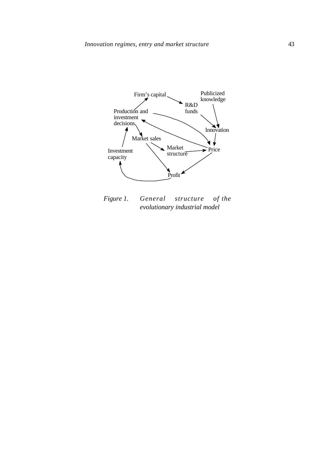

*Figure 1. General structure of the evolutionary industrial model*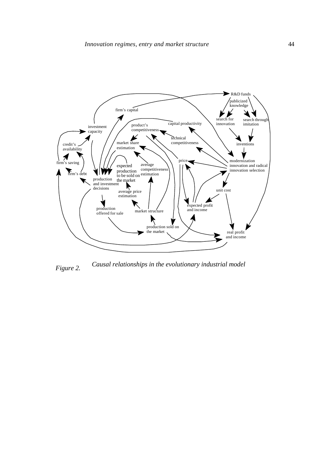

*Figure 2. Causal relationships in the evolutionary industrial model*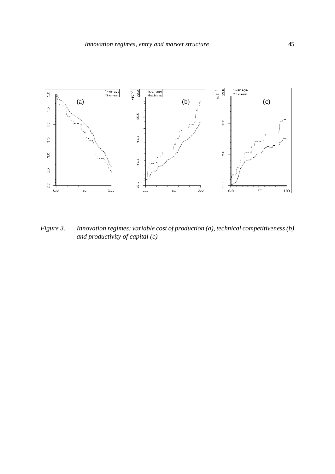

*Figure 3. Innovation regimes: variable cost of production (a), technical competitiveness (b) and productivity of capital (c)*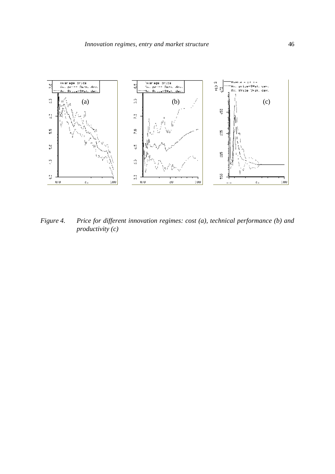

*Figure 4. Price for different innovation regimes: cost (a), technical performance (b) and productivity (c)*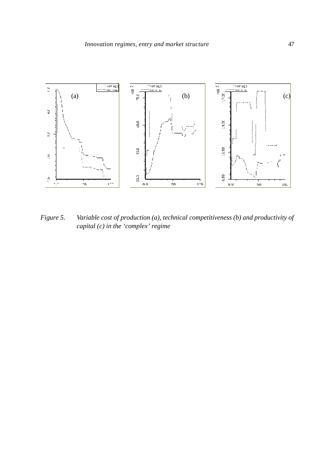

*Figure 5. Variable cost of production (a), technical competitiveness (b) and productivity of capital (c) in the 'complex' regime*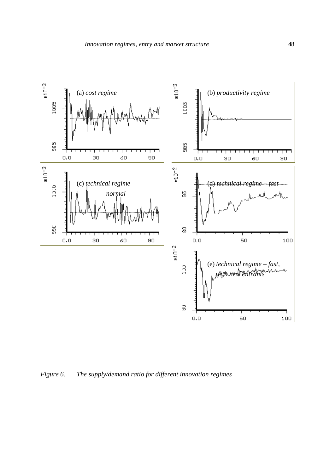

*Figure 6. The supply/demand ratio for different innovation regimes*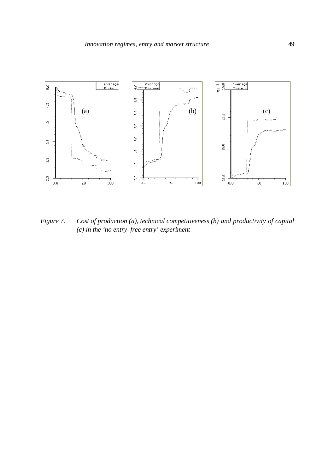

*Figure 7. Cost of production (a), technical competitiveness (b) and productivity of capital (c) in the 'no entry–free entry' experiment*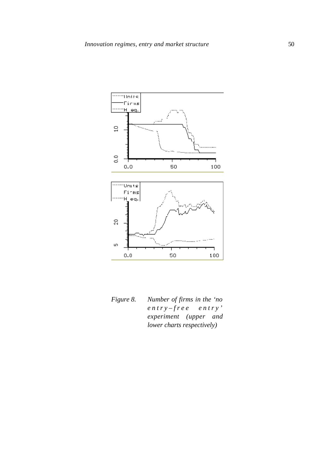

*Figure 8. Number of firms in the 'no entry–free entry' experiment (upper and lower charts respectively)*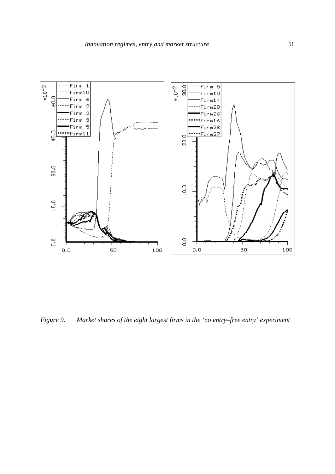

*Figure 9. Market shares of the eight largest firms in the 'no entry–free entry' experiment*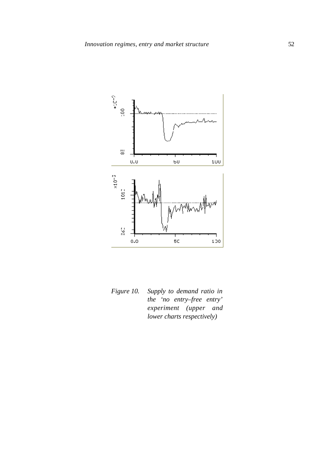

*Figure 10. Supply to demand ratio in the 'no entry–free entry' experiment (upper and lower charts respectively)*